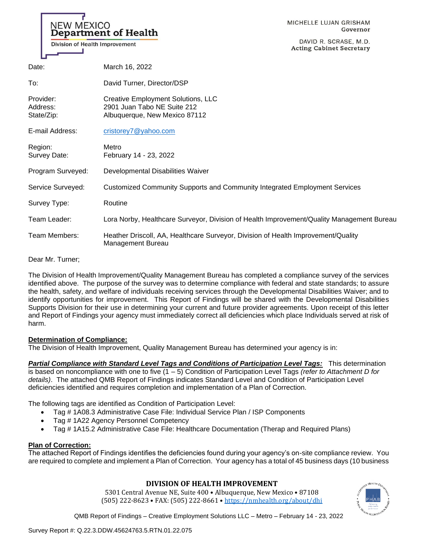#### MICHELLE LUJAN GRISHAM Governor

DAVID R. SCRASE, M.D. **Acting Cabinet Secretary** 

| Date:                               | March 16, 2022                                                                                         |
|-------------------------------------|--------------------------------------------------------------------------------------------------------|
| To:                                 | David Turner, Director/DSP                                                                             |
| Provider:<br>Address:<br>State/Zip: | Creative Employment Solutions, LLC<br>2901 Juan Tabo NE Suite 212<br>Albuquerque, New Mexico 87112     |
| E-mail Address:                     | cristorey7@yahoo.com                                                                                   |
| Region:<br>Survey Date:             | Metro<br>February 14 - 23, 2022                                                                        |
| Program Surveyed:                   | Developmental Disabilities Waiver                                                                      |
| Service Surveyed:                   | Customized Community Supports and Community Integrated Employment Services                             |
| Survey Type:                        | Routine                                                                                                |
| Team Leader:                        | Lora Norby, Healthcare Surveyor, Division of Health Improvement/Quality Management Bureau              |
| Team Members:                       | Heather Driscoll, AA, Healthcare Surveyor, Division of Health Improvement/Quality<br>Management Bureau |

Dear Mr. Turner;

The Division of Health Improvement/Quality Management Bureau has completed a compliance survey of the services identified above. The purpose of the survey was to determine compliance with federal and state standards; to assure the health, safety, and welfare of individuals receiving services through the Developmental Disabilities Waiver; and to identify opportunities for improvement. This Report of Findings will be shared with the Developmental Disabilities Supports Division for their use in determining your current and future provider agreements. Upon receipt of this letter and Report of Findings your agency must immediately correct all deficiencies which place Individuals served at risk of harm.

# **Determination of Compliance:**

NEW MEXICO

**Department of Health** 

Division of Health Improvement

The Division of Health Improvement, Quality Management Bureau has determined your agency is in:

*Partial Compliance with Standard Level Tags and Conditions of Participation Level Tags:* This determination is based on noncompliance with one to five (1 – 5) Condition of Participation Level Tags *(refer to Attachment D for details)*. The attached QMB Report of Findings indicates Standard Level and Condition of Participation Level deficiencies identified and requires completion and implementation of a Plan of Correction.

The following tags are identified as Condition of Participation Level:

- Tag # 1A08.3 Administrative Case File: Individual Service Plan / ISP Components
- Tag # 1A22 Agency Personnel Competency
- Tag # 1A15.2 Administrative Case File: Healthcare Documentation (Therap and Required Plans)

### **Plan of Correction:**

The attached Report of Findings identifies the deficiencies found during your agency's on-site compliance review. You are required to complete and implement a Plan of Correction. Your agency has a total of 45 business days (10 business

# **DIVISION OF HEALTH IMPROVEMENT**

5301 Central Avenue NE, Suite 400 • Albuquerque, New Mexico • 87108 (505) 222-8623 • FAX: (505) 222-8661 • <https://nmhealth.org/about/dhi>

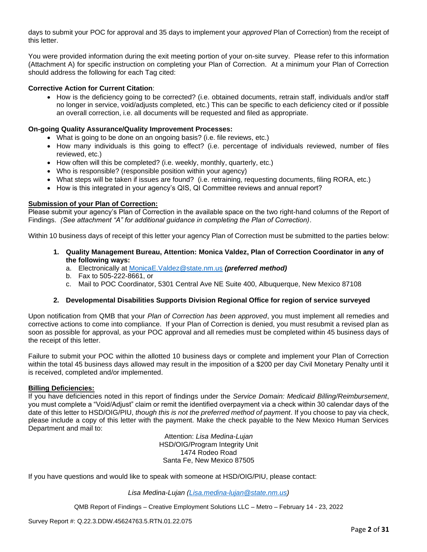days to submit your POC for approval and 35 days to implement your *approved* Plan of Correction) from the receipt of this letter.

You were provided information during the exit meeting portion of your on-site survey. Please refer to this information (Attachment A) for specific instruction on completing your Plan of Correction. At a minimum your Plan of Correction should address the following for each Tag cited:

## **Corrective Action for Current Citation**:

• How is the deficiency going to be corrected? (i.e. obtained documents, retrain staff, individuals and/or staff no longer in service, void/adjusts completed, etc.) This can be specific to each deficiency cited or if possible an overall correction, i.e. all documents will be requested and filed as appropriate.

### **On-going Quality Assurance/Quality Improvement Processes:**

- What is going to be done on an ongoing basis? (i.e. file reviews, etc.)
- How many individuals is this going to effect? (i.e. percentage of individuals reviewed, number of files reviewed, etc.)
- How often will this be completed? (i.e. weekly, monthly, quarterly, etc.)
- Who is responsible? (responsible position within your agency)
- What steps will be taken if issues are found? (i.e. retraining, requesting documents, filing RORA, etc.)
- How is this integrated in your agency's QIS, QI Committee reviews and annual report?

### **Submission of your Plan of Correction:**

Please submit your agency's Plan of Correction in the available space on the two right-hand columns of the Report of Findings. *(See attachment "A" for additional guidance in completing the Plan of Correction)*.

Within 10 business days of receipt of this letter your agency Plan of Correction must be submitted to the parties below:

- **1. Quality Management Bureau, Attention: Monica Valdez, Plan of Correction Coordinator in any of the following ways:**
	- a. Electronically at [MonicaE.Valdez@state.nm.us](mailto:MonicaE.Valdez@state.nm.us) *(preferred method)*
	- b. Fax to 505-222-8661, or
	- c. Mail to POC Coordinator, 5301 Central Ave NE Suite 400, Albuquerque, New Mexico 87108

### **2. Developmental Disabilities Supports Division Regional Office for region of service surveyed**

Upon notification from QMB that your *Plan of Correction has been approved*, you must implement all remedies and corrective actions to come into compliance. If your Plan of Correction is denied, you must resubmit a revised plan as soon as possible for approval, as your POC approval and all remedies must be completed within 45 business days of the receipt of this letter.

Failure to submit your POC within the allotted 10 business days or complete and implement your Plan of Correction within the total 45 business days allowed may result in the imposition of a \$200 per day Civil Monetary Penalty until it is received, completed and/or implemented.

### **Billing Deficiencies:**

If you have deficiencies noted in this report of findings under the *Service Domain: Medicaid Billing/Reimbursement*, you must complete a "Void/Adjust" claim or remit the identified overpayment via a check within 30 calendar days of the date of this letter to HSD/OIG/PIU, *though this is not the preferred method of payment*. If you choose to pay via check, please include a copy of this letter with the payment. Make the check payable to the New Mexico Human Services Department and mail to:

> Attention: *Lisa Medina-Lujan* HSD/OIG/Program Integrity Unit 1474 Rodeo Road Santa Fe, New Mexico 87505

If you have questions and would like to speak with someone at HSD/OIG/PIU, please contact:

*Lisa Medina-Lujan [\(Lisa.medina-lujan@state.nm.us\)](mailto:Lisa.medina-lujan@state.nm.us)*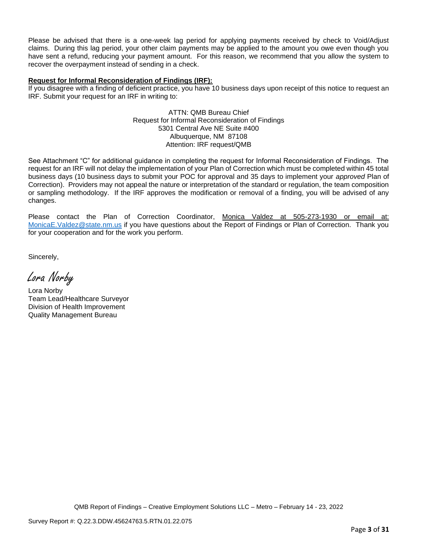Please be advised that there is a one-week lag period for applying payments received by check to Void/Adjust claims. During this lag period, your other claim payments may be applied to the amount you owe even though you have sent a refund, reducing your payment amount. For this reason, we recommend that you allow the system to recover the overpayment instead of sending in a check.

# **Request for Informal Reconsideration of Findings (IRF):**

If you disagree with a finding of deficient practice, you have 10 business days upon receipt of this notice to request an IRF. Submit your request for an IRF in writing to:

> ATTN: QMB Bureau Chief Request for Informal Reconsideration of Findings 5301 Central Ave NE Suite #400 Albuquerque, NM 87108 Attention: IRF request/QMB

See Attachment "C" for additional guidance in completing the request for Informal Reconsideration of Findings. The request for an IRF will not delay the implementation of your Plan of Correction which must be completed within 45 total business days (10 business days to submit your POC for approval and 35 days to implement your *approved* Plan of Correction). Providers may not appeal the nature or interpretation of the standard or regulation, the team composition or sampling methodology. If the IRF approves the modification or removal of a finding, you will be advised of any changes.

Please contact the Plan of Correction Coordinator, Monica Valdez at 505-273-1930 or email at: [MonicaE.Valdez@state.nm.us](mailto:MonicaE.Valdez@state.nm.us) if you have questions about the Report of Findings or Plan of Correction. Thank you for your cooperation and for the work you perform.

Sincerely,

Lora Norby

Lora Norby Team Lead/Healthcare Surveyor Division of Health Improvement Quality Management Bureau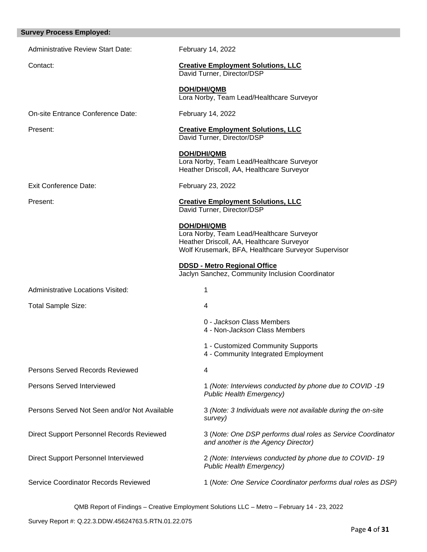| <b>Survey Process Employed:</b>              |                                                                         |                                                                                                                                               |
|----------------------------------------------|-------------------------------------------------------------------------|-----------------------------------------------------------------------------------------------------------------------------------------------|
| <b>Administrative Review Start Date:</b>     | February 14, 2022                                                       |                                                                                                                                               |
| Contact:                                     | <b>Creative Employment Solutions, LLC</b><br>David Turner, Director/DSP |                                                                                                                                               |
|                                              | <b>DOH/DHI/QMB</b>                                                      | Lora Norby, Team Lead/Healthcare Surveyor                                                                                                     |
| On-site Entrance Conference Date:            | February 14, 2022                                                       |                                                                                                                                               |
| Present:                                     | <b>Creative Employment Solutions, LLC</b><br>David Turner, Director/DSP |                                                                                                                                               |
|                                              | <b>DOH/DHI/QMB</b>                                                      | Lora Norby, Team Lead/Healthcare Surveyor<br>Heather Driscoll, AA, Healthcare Surveyor                                                        |
| <b>Exit Conference Date:</b>                 | February 23, 2022                                                       |                                                                                                                                               |
| Present:                                     | <b>Creative Employment Solutions, LLC</b><br>David Turner, Director/DSP |                                                                                                                                               |
|                                              | <b>DOH/DHI/QMB</b>                                                      | Lora Norby, Team Lead/Healthcare Surveyor<br>Heather Driscoll, AA, Healthcare Surveyor<br>Wolf Krusemark, BFA, Healthcare Surveyor Supervisor |
|                                              | <b>DDSD - Metro Regional Office</b>                                     | Jaclyn Sanchez, Community Inclusion Coordinator                                                                                               |
| <b>Administrative Locations Visited:</b>     | 1                                                                       |                                                                                                                                               |
| <b>Total Sample Size:</b>                    | 4                                                                       |                                                                                                                                               |
|                                              |                                                                         | 0 - Jackson Class Members<br>4 - Non-Jackson Class Members                                                                                    |
|                                              |                                                                         | 1 - Customized Community Supports<br>4 - Community Integrated Employment                                                                      |
| <b>Persons Served Records Reviewed</b>       | 4                                                                       |                                                                                                                                               |
| <b>Persons Served Interviewed</b>            |                                                                         | 1 (Note: Interviews conducted by phone due to COVID -19<br><b>Public Health Emergency)</b>                                                    |
| Persons Served Not Seen and/or Not Available | survey)                                                                 | 3 (Note: 3 Individuals were not available during the on-site                                                                                  |
| Direct Support Personnel Records Reviewed    |                                                                         | 3 (Note: One DSP performs dual roles as Service Coordinator<br>and another is the Agency Director)                                            |
| <b>Direct Support Personnel Interviewed</b>  |                                                                         | 2 (Note: Interviews conducted by phone due to COVID-19<br><b>Public Health Emergency)</b>                                                     |
| Service Coordinator Records Reviewed         |                                                                         | 1 (Note: One Service Coordinator performs dual roles as DSP)                                                                                  |
|                                              |                                                                         |                                                                                                                                               |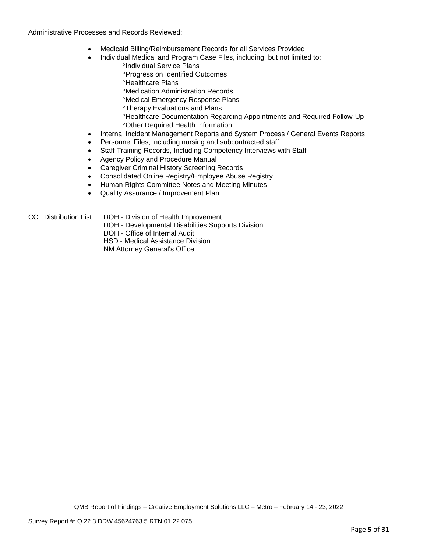### Administrative Processes and Records Reviewed:

- Medicaid Billing/Reimbursement Records for all Services Provided
- Individual Medical and Program Case Files, including, but not limited to:
	- °Individual Service Plans
		- **Progress on Identified Outcomes**
		- <sup>o</sup>Healthcare Plans
		- Medication Administration Records
		- Medical Emergency Response Plans
		- Therapy Evaluations and Plans
		- Healthcare Documentation Regarding Appointments and Required Follow-Up Other Required Health Information
- Internal Incident Management Reports and System Process / General Events Reports
- Personnel Files, including nursing and subcontracted staff
- Staff Training Records, Including Competency Interviews with Staff
- Agency Policy and Procedure Manual
- Caregiver Criminal History Screening Records
- Consolidated Online Registry/Employee Abuse Registry
- Human Rights Committee Notes and Meeting Minutes
- Quality Assurance / Improvement Plan

- CC: Distribution List: DOH Division of Health Improvement
	- DOH Developmental Disabilities Supports Division
	- DOH Office of Internal Audit

HSD - Medical Assistance Division

NM Attorney General's Office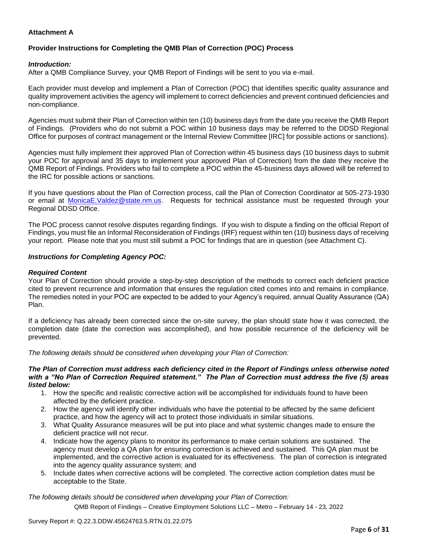# **Attachment A**

# **Provider Instructions for Completing the QMB Plan of Correction (POC) Process**

### *Introduction:*

After a QMB Compliance Survey, your QMB Report of Findings will be sent to you via e-mail.

Each provider must develop and implement a Plan of Correction (POC) that identifies specific quality assurance and quality improvement activities the agency will implement to correct deficiencies and prevent continued deficiencies and non-compliance.

Agencies must submit their Plan of Correction within ten (10) business days from the date you receive the QMB Report of Findings. (Providers who do not submit a POC within 10 business days may be referred to the DDSD Regional Office for purposes of contract management or the Internal Review Committee [IRC] for possible actions or sanctions).

Agencies must fully implement their approved Plan of Correction within 45 business days (10 business days to submit your POC for approval and 35 days to implement your approved Plan of Correction) from the date they receive the QMB Report of Findings. Providers who fail to complete a POC within the 45-business days allowed will be referred to the IRC for possible actions or sanctions.

If you have questions about the Plan of Correction process, call the Plan of Correction Coordinator at 505-273-1930 or email at [MonicaE.Valdez@state.nm.us.](mailto:MonicaE.Valdez@state.nm.us) Requests for technical assistance must be requested through your Regional DDSD Office.

The POC process cannot resolve disputes regarding findings. If you wish to dispute a finding on the official Report of Findings, you must file an Informal Reconsideration of Findings (IRF) request within ten (10) business days of receiving your report. Please note that you must still submit a POC for findings that are in question (see Attachment C).

### *Instructions for Completing Agency POC:*

### *Required Content*

Your Plan of Correction should provide a step-by-step description of the methods to correct each deficient practice cited to prevent recurrence and information that ensures the regulation cited comes into and remains in compliance. The remedies noted in your POC are expected to be added to your Agency's required, annual Quality Assurance (QA) Plan.

If a deficiency has already been corrected since the on-site survey, the plan should state how it was corrected, the completion date (date the correction was accomplished), and how possible recurrence of the deficiency will be prevented.

*The following details should be considered when developing your Plan of Correction:*

#### *The Plan of Correction must address each deficiency cited in the Report of Findings unless otherwise noted with a "No Plan of Correction Required statement." The Plan of Correction must address the five (5) areas listed below:*

- 1. How the specific and realistic corrective action will be accomplished for individuals found to have been affected by the deficient practice.
- 2. How the agency will identify other individuals who have the potential to be affected by the same deficient practice, and how the agency will act to protect those individuals in similar situations.
- 3. What Quality Assurance measures will be put into place and what systemic changes made to ensure the deficient practice will not recur.
- 4. Indicate how the agency plans to monitor its performance to make certain solutions are sustained. The agency must develop a QA plan for ensuring correction is achieved and sustained. This QA plan must be implemented, and the corrective action is evaluated for its effectiveness. The plan of correction is integrated into the agency quality assurance system; and
- 5. Include dates when corrective actions will be completed. The corrective action completion dates must be acceptable to the State.

*The following details should be considered when developing your Plan of Correction:*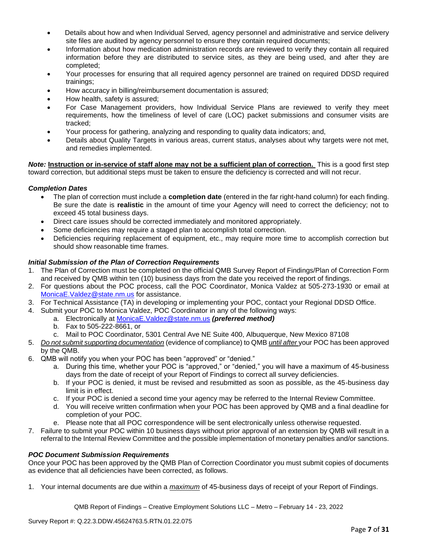- Details about how and when Individual Served, agency personnel and administrative and service delivery site files are audited by agency personnel to ensure they contain required documents;
- Information about how medication administration records are reviewed to verify they contain all required information before they are distributed to service sites, as they are being used, and after they are completed;
- Your processes for ensuring that all required agency personnel are trained on required DDSD required trainings;
- How accuracy in billing/reimbursement documentation is assured;
- How health, safety is assured;
- For Case Management providers, how Individual Service Plans are reviewed to verify they meet requirements, how the timeliness of level of care (LOC) packet submissions and consumer visits are tracked;
- Your process for gathering, analyzing and responding to quality data indicators; and,
- Details about Quality Targets in various areas, current status, analyses about why targets were not met, and remedies implemented.

*Note:* **Instruction or in-service of staff alone may not be a sufficient plan of correction.** This is a good first step toward correction, but additional steps must be taken to ensure the deficiency is corrected and will not recur.

## *Completion Dates*

- The plan of correction must include a **completion date** (entered in the far right-hand column) for each finding. Be sure the date is **realistic** in the amount of time your Agency will need to correct the deficiency; not to exceed 45 total business days.
- Direct care issues should be corrected immediately and monitored appropriately.
- Some deficiencies may require a staged plan to accomplish total correction.
- Deficiencies requiring replacement of equipment, etc., may require more time to accomplish correction but should show reasonable time frames.

## *Initial Submission of the Plan of Correction Requirements*

- 1. The Plan of Correction must be completed on the official QMB Survey Report of Findings/Plan of Correction Form and received by QMB within ten (10) business days from the date you received the report of findings.
- 2. For questions about the POC process, call the POC Coordinator, Monica Valdez at 505-273-1930 or email at [MonicaE.Valdez@state.nm.us](mailto:MonicaE.Valdez@state.nm.us) for assistance.
- 3. For Technical Assistance (TA) in developing or implementing your POC, contact your Regional DDSD Office.
- 4. Submit your POC to Monica Valdez, POC Coordinator in any of the following ways:
	- a. Electronically at [MonicaE.Valdez@state.nm.us](mailto:MonicaE.Valdez@state.nm.us) *(preferred method)*
		- b. Fax to 505-222-8661, or
		- c. Mail to POC Coordinator, 5301 Central Ave NE Suite 400, Albuquerque, New Mexico 87108
- 5. *Do not submit supporting documentation* (evidence of compliance) to QMB *until after* your POC has been approved by the QMB.
- 6. QMB will notify you when your POC has been "approved" or "denied."
	- a. During this time, whether your POC is "approved," or "denied," you will have a maximum of 45-business days from the date of receipt of your Report of Findings to correct all survey deficiencies.
	- b. If your POC is denied, it must be revised and resubmitted as soon as possible, as the 45-business day limit is in effect.
	- c. If your POC is denied a second time your agency may be referred to the Internal Review Committee.
	- d. You will receive written confirmation when your POC has been approved by QMB and a final deadline for completion of your POC.
	- e. Please note that all POC correspondence will be sent electronically unless otherwise requested.
- 7. Failure to submit your POC within 10 business days without prior approval of an extension by QMB will result in a referral to the Internal Review Committee and the possible implementation of monetary penalties and/or sanctions.

### *POC Document Submission Requirements*

Once your POC has been approved by the QMB Plan of Correction Coordinator you must submit copies of documents as evidence that all deficiencies have been corrected, as follows.

1. Your internal documents are due within a *maximum* of 45-business days of receipt of your Report of Findings.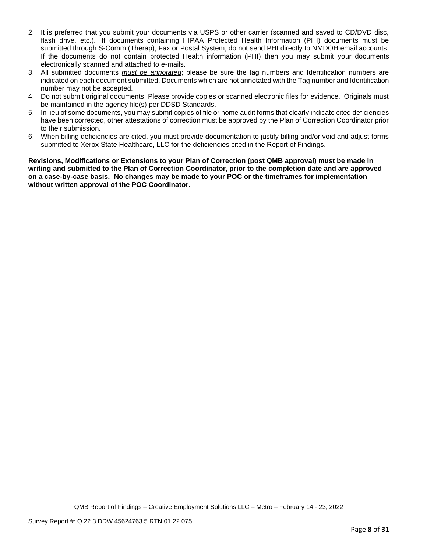- 2. It is preferred that you submit your documents via USPS or other carrier (scanned and saved to CD/DVD disc, flash drive, etc.). If documents containing HIPAA Protected Health Information (PHI) documents must be submitted through S-Comm (Therap), Fax or Postal System, do not send PHI directly to NMDOH email accounts. If the documents do not contain protected Health information (PHI) then you may submit your documents electronically scanned and attached to e-mails.
- 3. All submitted documents *must be annotated*; please be sure the tag numbers and Identification numbers are indicated on each document submitted. Documents which are not annotated with the Tag number and Identification number may not be accepted.
- 4. Do not submit original documents; Please provide copies or scanned electronic files for evidence. Originals must be maintained in the agency file(s) per DDSD Standards.
- 5. In lieu of some documents, you may submit copies of file or home audit forms that clearly indicate cited deficiencies have been corrected, other attestations of correction must be approved by the Plan of Correction Coordinator prior to their submission.
- 6. When billing deficiencies are cited, you must provide documentation to justify billing and/or void and adjust forms submitted to Xerox State Healthcare, LLC for the deficiencies cited in the Report of Findings.

**Revisions, Modifications or Extensions to your Plan of Correction (post QMB approval) must be made in writing and submitted to the Plan of Correction Coordinator, prior to the completion date and are approved on a case-by-case basis. No changes may be made to your POC or the timeframes for implementation without written approval of the POC Coordinator.**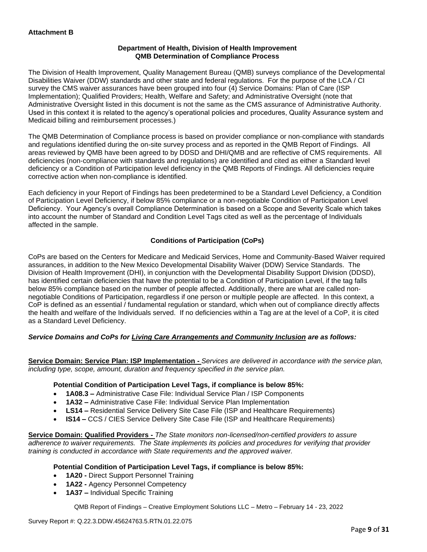# **Department of Health, Division of Health Improvement QMB Determination of Compliance Process**

The Division of Health Improvement, Quality Management Bureau (QMB) surveys compliance of the Developmental Disabilities Waiver (DDW) standards and other state and federal regulations. For the purpose of the LCA / CI survey the CMS waiver assurances have been grouped into four (4) Service Domains: Plan of Care (ISP Implementation); Qualified Providers; Health, Welfare and Safety; and Administrative Oversight (note that Administrative Oversight listed in this document is not the same as the CMS assurance of Administrative Authority. Used in this context it is related to the agency's operational policies and procedures, Quality Assurance system and Medicaid billing and reimbursement processes.)

The QMB Determination of Compliance process is based on provider compliance or non-compliance with standards and regulations identified during the on-site survey process and as reported in the QMB Report of Findings. All areas reviewed by QMB have been agreed to by DDSD and DHI/QMB and are reflective of CMS requirements. All deficiencies (non-compliance with standards and regulations) are identified and cited as either a Standard level deficiency or a Condition of Participation level deficiency in the QMB Reports of Findings. All deficiencies require corrective action when non-compliance is identified.

Each deficiency in your Report of Findings has been predetermined to be a Standard Level Deficiency, a Condition of Participation Level Deficiency, if below 85% compliance or a non-negotiable Condition of Participation Level Deficiency. Your Agency's overall Compliance Determination is based on a Scope and Severity Scale which takes into account the number of Standard and Condition Level Tags cited as well as the percentage of Individuals affected in the sample.

# **Conditions of Participation (CoPs)**

CoPs are based on the Centers for Medicare and Medicaid Services, Home and Community-Based Waiver required assurances, in addition to the New Mexico Developmental Disability Waiver (DDW) Service Standards. The Division of Health Improvement (DHI), in conjunction with the Developmental Disability Support Division (DDSD), has identified certain deficiencies that have the potential to be a Condition of Participation Level, if the tag falls below 85% compliance based on the number of people affected. Additionally, there are what are called nonnegotiable Conditions of Participation, regardless if one person or multiple people are affected. In this context, a CoP is defined as an essential / fundamental regulation or standard, which when out of compliance directly affects the health and welfare of the Individuals served. If no deficiencies within a Tag are at the level of a CoP, it is cited as a Standard Level Deficiency.

# *Service Domains and CoPs for Living Care Arrangements and Community Inclusion are as follows:*

**Service Domain: Service Plan: ISP Implementation -** *Services are delivered in accordance with the service plan, including type, scope, amount, duration and frequency specified in the service plan.*

### **Potential Condition of Participation Level Tags, if compliance is below 85%:**

- **1A08.3 –** Administrative Case File: Individual Service Plan / ISP Components
- **1A32 –** Administrative Case File: Individual Service Plan Implementation
- **LS14 –** Residential Service Delivery Site Case File (ISP and Healthcare Requirements)
- **IS14 –** CCS / CIES Service Delivery Site Case File (ISP and Healthcare Requirements)

**Service Domain: Qualified Providers -** *The State monitors non-licensed/non-certified providers to assure adherence to waiver requirements. The State implements its policies and procedures for verifying that provider training is conducted in accordance with State requirements and the approved waiver.*

### **Potential Condition of Participation Level Tags, if compliance is below 85%:**

- **1A20 -** Direct Support Personnel Training
- **1A22 -** Agency Personnel Competency
- **1A37 –** Individual Specific Training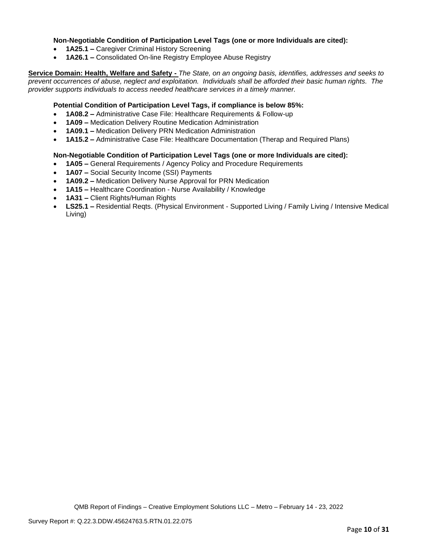### **Non-Negotiable Condition of Participation Level Tags (one or more Individuals are cited):**

- **1A25.1 –** Caregiver Criminal History Screening
- **1A26.1 –** Consolidated On-line Registry Employee Abuse Registry

**Service Domain: Health, Welfare and Safety -** *The State, on an ongoing basis, identifies, addresses and seeks to prevent occurrences of abuse, neglect and exploitation. Individuals shall be afforded their basic human rights. The provider supports individuals to access needed healthcare services in a timely manner.*

### **Potential Condition of Participation Level Tags, if compliance is below 85%:**

- **1A08.2 –** Administrative Case File: Healthcare Requirements & Follow-up
- **1A09 –** Medication Delivery Routine Medication Administration
- **1A09.1 –** Medication Delivery PRN Medication Administration
- **1A15.2 –** Administrative Case File: Healthcare Documentation (Therap and Required Plans)

### **Non-Negotiable Condition of Participation Level Tags (one or more Individuals are cited):**

- **1A05 –** General Requirements / Agency Policy and Procedure Requirements
- **1A07 –** Social Security Income (SSI) Payments
- **1A09.2 –** Medication Delivery Nurse Approval for PRN Medication
- **1A15 –** Healthcare Coordination Nurse Availability / Knowledge
- **1A31 –** Client Rights/Human Rights
- **LS25.1 –** Residential Reqts. (Physical Environment Supported Living / Family Living / Intensive Medical Living)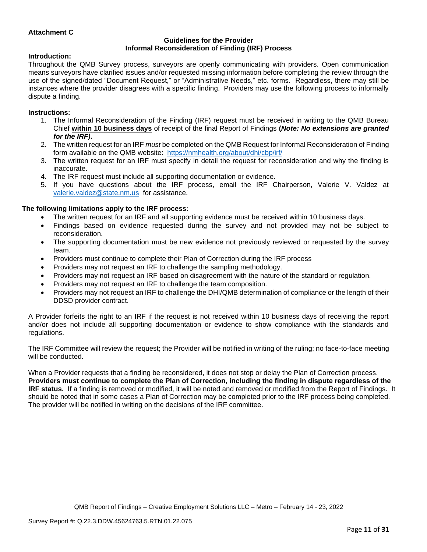# **Attachment C**

#### **Guidelines for the Provider Informal Reconsideration of Finding (IRF) Process**

### **Introduction:**

Throughout the QMB Survey process, surveyors are openly communicating with providers. Open communication means surveyors have clarified issues and/or requested missing information before completing the review through the use of the signed/dated "Document Request," or "Administrative Needs," etc. forms. Regardless, there may still be instances where the provider disagrees with a specific finding. Providers may use the following process to informally dispute a finding.

#### **Instructions:**

- 1. The Informal Reconsideration of the Finding (IRF) request must be received in writing to the QMB Bureau Chief **within 10 business days** of receipt of the final Report of Findings **(***Note: No extensions are granted for the IRF)***.**
- 2. The written request for an IRF *must* be completed on the QMB Request for Informal Reconsideration of Finding form available on the QMB website: <https://nmhealth.org/about/dhi/cbp/irf/>
- 3. The written request for an IRF must specify in detail the request for reconsideration and why the finding is inaccurate.
- 4. The IRF request must include all supporting documentation or evidence.
- 5. If you have questions about the IRF process, email the IRF Chairperson, Valerie V. Valdez at [valerie.valdez@state.nm.us](mailto:valerie.valdez@state.nm.us) for assistance.

#### **The following limitations apply to the IRF process:**

- The written request for an IRF and all supporting evidence must be received within 10 business days.
- Findings based on evidence requested during the survey and not provided may not be subject to reconsideration.
- The supporting documentation must be new evidence not previously reviewed or requested by the survey team.
- Providers must continue to complete their Plan of Correction during the IRF process
- Providers may not request an IRF to challenge the sampling methodology.
- Providers may not request an IRF based on disagreement with the nature of the standard or regulation.
- Providers may not request an IRF to challenge the team composition.
- Providers may not request an IRF to challenge the DHI/QMB determination of compliance or the length of their DDSD provider contract.

A Provider forfeits the right to an IRF if the request is not received within 10 business days of receiving the report and/or does not include all supporting documentation or evidence to show compliance with the standards and regulations.

The IRF Committee will review the request; the Provider will be notified in writing of the ruling; no face-to-face meeting will be conducted.

When a Provider requests that a finding be reconsidered, it does not stop or delay the Plan of Correction process. **Providers must continue to complete the Plan of Correction, including the finding in dispute regardless of the IRF status.** If a finding is removed or modified, it will be noted and removed or modified from the Report of Findings. It should be noted that in some cases a Plan of Correction may be completed prior to the IRF process being completed. The provider will be notified in writing on the decisions of the IRF committee.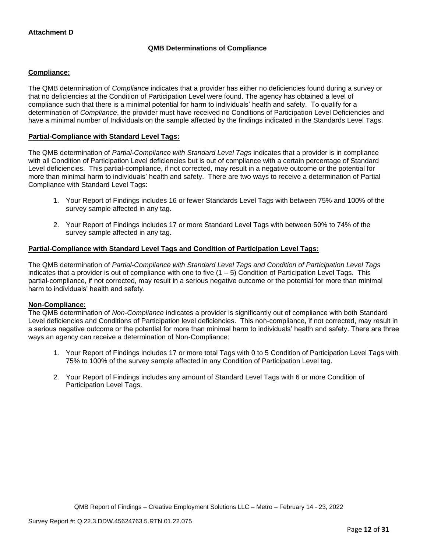# **QMB Determinations of Compliance**

## **Compliance:**

The QMB determination of *Compliance* indicates that a provider has either no deficiencies found during a survey or that no deficiencies at the Condition of Participation Level were found. The agency has obtained a level of compliance such that there is a minimal potential for harm to individuals' health and safety. To qualify for a determination of *Compliance*, the provider must have received no Conditions of Participation Level Deficiencies and have a minimal number of Individuals on the sample affected by the findings indicated in the Standards Level Tags.

### **Partial-Compliance with Standard Level Tags:**

The QMB determination of *Partial-Compliance with Standard Level Tags* indicates that a provider is in compliance with all Condition of Participation Level deficiencies but is out of compliance with a certain percentage of Standard Level deficiencies. This partial-compliance, if not corrected, may result in a negative outcome or the potential for more than minimal harm to individuals' health and safety. There are two ways to receive a determination of Partial Compliance with Standard Level Tags:

- 1. Your Report of Findings includes 16 or fewer Standards Level Tags with between 75% and 100% of the survey sample affected in any tag.
- 2. Your Report of Findings includes 17 or more Standard Level Tags with between 50% to 74% of the survey sample affected in any tag.

# **Partial-Compliance with Standard Level Tags and Condition of Participation Level Tags:**

The QMB determination of *Partial-Compliance with Standard Level Tags and Condition of Participation Level Tags*  indicates that a provider is out of compliance with one to five  $(1 - 5)$  Condition of Participation Level Tags. This partial-compliance, if not corrected, may result in a serious negative outcome or the potential for more than minimal harm to individuals' health and safety.

### **Non-Compliance:**

The QMB determination of *Non-Compliance* indicates a provider is significantly out of compliance with both Standard Level deficiencies and Conditions of Participation level deficiencies. This non-compliance, if not corrected, may result in a serious negative outcome or the potential for more than minimal harm to individuals' health and safety. There are three ways an agency can receive a determination of Non-Compliance:

- 1. Your Report of Findings includes 17 or more total Tags with 0 to 5 Condition of Participation Level Tags with 75% to 100% of the survey sample affected in any Condition of Participation Level tag.
- 2. Your Report of Findings includes any amount of Standard Level Tags with 6 or more Condition of Participation Level Tags.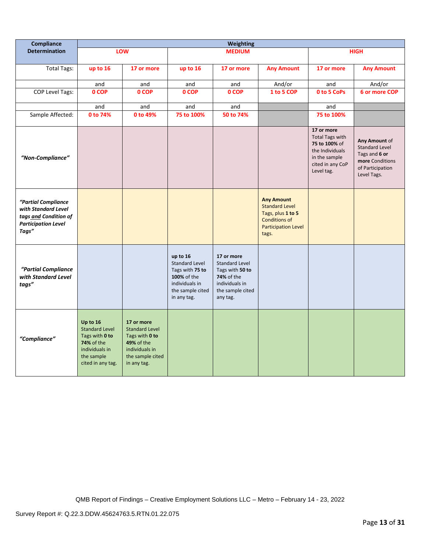| Compliance                                                                                                 | <b>Weighting</b>                                                                                                              |                                                                                                                          |                                                                                                                          |                                                                                                                        |                                                                                                                                |                                                                                                                             |                                                                                                               |
|------------------------------------------------------------------------------------------------------------|-------------------------------------------------------------------------------------------------------------------------------|--------------------------------------------------------------------------------------------------------------------------|--------------------------------------------------------------------------------------------------------------------------|------------------------------------------------------------------------------------------------------------------------|--------------------------------------------------------------------------------------------------------------------------------|-----------------------------------------------------------------------------------------------------------------------------|---------------------------------------------------------------------------------------------------------------|
| <b>Determination</b>                                                                                       |                                                                                                                               | LOW                                                                                                                      |                                                                                                                          | <b>MEDIUM</b>                                                                                                          |                                                                                                                                | <b>HIGH</b>                                                                                                                 |                                                                                                               |
| <b>Total Tags:</b>                                                                                         | up to 16                                                                                                                      | 17 or more                                                                                                               | up to 16                                                                                                                 | 17 or more                                                                                                             | <b>Any Amount</b>                                                                                                              | 17 or more                                                                                                                  | <b>Any Amount</b>                                                                                             |
|                                                                                                            | and                                                                                                                           | and                                                                                                                      | and                                                                                                                      | and                                                                                                                    | And/or                                                                                                                         | and                                                                                                                         | And/or                                                                                                        |
| COP Level Tags:                                                                                            | 0 COP                                                                                                                         | 0 COP                                                                                                                    | 0 COP                                                                                                                    | 0 COP                                                                                                                  | 1 to 5 COP                                                                                                                     | 0 to 5 CoPs                                                                                                                 | 6 or more COP                                                                                                 |
|                                                                                                            | and                                                                                                                           | and                                                                                                                      | and                                                                                                                      | and                                                                                                                    |                                                                                                                                | and                                                                                                                         |                                                                                                               |
| Sample Affected:                                                                                           | 0 to 74%                                                                                                                      | 0 to 49%                                                                                                                 | 75 to 100%                                                                                                               | 50 to 74%                                                                                                              |                                                                                                                                | 75 to 100%                                                                                                                  |                                                                                                               |
| "Non-Compliance"                                                                                           |                                                                                                                               |                                                                                                                          |                                                                                                                          |                                                                                                                        |                                                                                                                                | 17 or more<br><b>Total Tags with</b><br>75 to 100% of<br>the Individuals<br>in the sample<br>cited in any CoP<br>Level tag. | Any Amount of<br><b>Standard Level</b><br>Tags and 6 or<br>more Conditions<br>of Participation<br>Level Tags. |
| "Partial Compliance<br>with Standard Level<br>tags and Condition of<br><b>Participation Level</b><br>Tags" |                                                                                                                               |                                                                                                                          |                                                                                                                          |                                                                                                                        | <b>Any Amount</b><br><b>Standard Level</b><br>Tags, plus 1 to 5<br><b>Conditions of</b><br><b>Participation Level</b><br>tags. |                                                                                                                             |                                                                                                               |
| "Partial Compliance<br>with Standard Level<br>tags"                                                        |                                                                                                                               |                                                                                                                          | up to 16<br><b>Standard Level</b><br>Tags with 75 to<br>100% of the<br>individuals in<br>the sample cited<br>in any tag. | 17 or more<br><b>Standard Level</b><br>Tags with 50 to<br>74% of the<br>individuals in<br>the sample cited<br>any tag. |                                                                                                                                |                                                                                                                             |                                                                                                               |
| "Compliance"                                                                                               | Up to 16<br><b>Standard Level</b><br>Tags with 0 to<br><b>74% of the</b><br>individuals in<br>the sample<br>cited in any tag. | 17 or more<br><b>Standard Level</b><br>Tags with 0 to<br>49% of the<br>individuals in<br>the sample cited<br>in any tag. |                                                                                                                          |                                                                                                                        |                                                                                                                                |                                                                                                                             |                                                                                                               |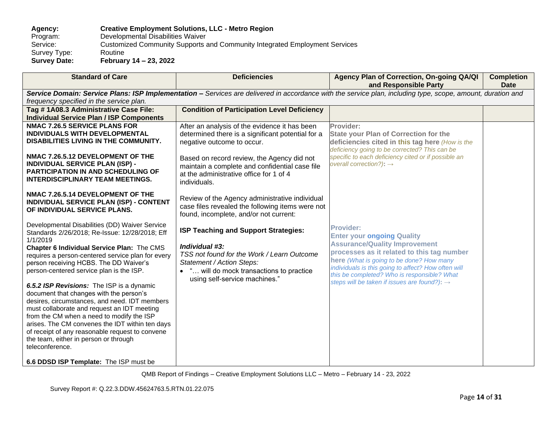# **Agency: Creative Employment Solutions, LLC - Metro Region** Program: Developmental Disabilities Waiver<br>Service: Customized Community Supports Customized Community Supports and Community Integrated Employment Services<br>Routine Survey Type:<br>Survey Date: **Survey Date: February 14 – 23, 2022**

| <b>Standard of Care</b>                                                                                                                                                                                                                                                                                                                                                                                                                                                                                                                                                                       | <b>Deficiencies</b>                                                                                                                                                                                                                                                         | Agency Plan of Correction, On-going QA/QI<br>and Responsible Party                                                                                                                                                                                                                                                                                        | <b>Completion</b><br><b>Date</b> |
|-----------------------------------------------------------------------------------------------------------------------------------------------------------------------------------------------------------------------------------------------------------------------------------------------------------------------------------------------------------------------------------------------------------------------------------------------------------------------------------------------------------------------------------------------------------------------------------------------|-----------------------------------------------------------------------------------------------------------------------------------------------------------------------------------------------------------------------------------------------------------------------------|-----------------------------------------------------------------------------------------------------------------------------------------------------------------------------------------------------------------------------------------------------------------------------------------------------------------------------------------------------------|----------------------------------|
| frequency specified in the service plan.                                                                                                                                                                                                                                                                                                                                                                                                                                                                                                                                                      |                                                                                                                                                                                                                                                                             | Service Domain: Service Plans: ISP Implementation - Services are delivered in accordance with the service plan, including type, scope, amount, duration and                                                                                                                                                                                               |                                  |
| Tag #1A08.3 Administrative Case File:                                                                                                                                                                                                                                                                                                                                                                                                                                                                                                                                                         | <b>Condition of Participation Level Deficiency</b>                                                                                                                                                                                                                          |                                                                                                                                                                                                                                                                                                                                                           |                                  |
| <b>Individual Service Plan / ISP Components</b><br><b>NMAC 7.26.5 SERVICE PLANS FOR</b><br>INDIVIDUALS WITH DEVELOPMENTAL<br>DISABILITIES LIVING IN THE COMMUNITY.<br>NMAC 7.26.5.12 DEVELOPMENT OF THE<br><b>INDIVIDUAL SERVICE PLAN (ISP) -</b><br><b>PARTICIPATION IN AND SCHEDULING OF</b><br><b>INTERDISCIPLINARY TEAM MEETINGS.</b>                                                                                                                                                                                                                                                     | After an analysis of the evidence it has been<br>determined there is a significant potential for a<br>negative outcome to occur.<br>Based on record review, the Agency did not<br>maintain a complete and confidential case file<br>at the administrative office for 1 of 4 | Provider:<br><b>State your Plan of Correction for the</b><br>deficiencies cited in this tag here (How is the<br>deficiency going to be corrected? This can be<br>specific to each deficiency cited or if possible an<br>overall correction?): $\rightarrow$                                                                                               |                                  |
| NMAC 7.26.5.14 DEVELOPMENT OF THE<br>INDIVIDUAL SERVICE PLAN (ISP) - CONTENT<br>OF INDIVIDUAL SERVICE PLANS.                                                                                                                                                                                                                                                                                                                                                                                                                                                                                  | individuals.<br>Review of the Agency administrative individual<br>case files revealed the following items were not<br>found, incomplete, and/or not current:                                                                                                                |                                                                                                                                                                                                                                                                                                                                                           |                                  |
| Developmental Disabilities (DD) Waiver Service<br>Standards 2/26/2018; Re-Issue: 12/28/2018; Eff<br>1/1/2019<br>Chapter 6 Individual Service Plan: The CMS<br>requires a person-centered service plan for every<br>person receiving HCBS. The DD Waiver's<br>person-centered service plan is the ISP.<br>6.5.2 ISP Revisions: The ISP is a dynamic<br>document that changes with the person's<br>desires, circumstances, and need. IDT members<br>must collaborate and request an IDT meeting<br>from the CM when a need to modify the ISP<br>arises. The CM convenes the IDT within ten days | ISP Teaching and Support Strategies:<br>Individual #3:<br>TSS not found for the Work / Learn Outcome<br>Statement / Action Steps:<br>• " will do mock transactions to practice<br>using self-service machines."                                                             | <b>Provider:</b><br><b>Enter your ongoing Quality</b><br><b>Assurance/Quality Improvement</b><br>processes as it related to this tag number<br>here (What is going to be done? How many<br>individuals is this going to affect? How often will<br>this be completed? Who is responsible? What<br>steps will be taken if issues are found?): $\rightarrow$ |                                  |
| of receipt of any reasonable request to convene<br>the team, either in person or through<br>teleconference.<br>6.6 DDSD ISP Template: The ISP must be                                                                                                                                                                                                                                                                                                                                                                                                                                         |                                                                                                                                                                                                                                                                             |                                                                                                                                                                                                                                                                                                                                                           |                                  |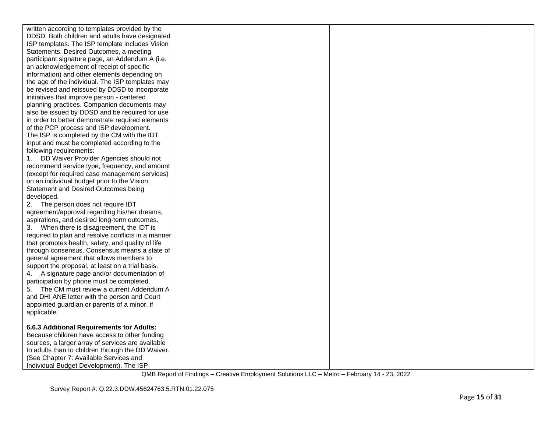| written according to templates provided by the     |  |  |
|----------------------------------------------------|--|--|
| DDSD. Both children and adults have designated     |  |  |
| ISP templates. The ISP template includes Vision    |  |  |
| Statements, Desired Outcomes, a meeting            |  |  |
| participant signature page, an Addendum A (i.e.    |  |  |
| an acknowledgement of receipt of specific          |  |  |
| information) and other elements depending on       |  |  |
| the age of the individual. The ISP templates may   |  |  |
| be revised and reissued by DDSD to incorporate     |  |  |
| initiatives that improve person - centered         |  |  |
| planning practices. Companion documents may        |  |  |
| also be issued by DDSD and be required for use     |  |  |
| in order to better demonstrate required elements   |  |  |
| of the PCP process and ISP development.            |  |  |
| The ISP is completed by the CM with the IDT        |  |  |
| input and must be completed according to the       |  |  |
| following requirements:                            |  |  |
| DD Waiver Provider Agencies should not<br>1.       |  |  |
| recommend service type, frequency, and amount      |  |  |
| (except for required case management services)     |  |  |
| on an individual budget prior to the Vision        |  |  |
| Statement and Desired Outcomes being               |  |  |
| developed.                                         |  |  |
| 2.<br>The person does not require IDT              |  |  |
| agreement/approval regarding his/her dreams,       |  |  |
| aspirations, and desired long-term outcomes.       |  |  |
| When there is disagreement, the IDT is<br>3.       |  |  |
| required to plan and resolve conflicts in a manner |  |  |
| that promotes health, safety, and quality of life  |  |  |
| through consensus. Consensus means a state of      |  |  |
| general agreement that allows members to           |  |  |
| support the proposal, at least on a trial basis.   |  |  |
| 4. A signature page and/or documentation of        |  |  |
| participation by phone must be completed.          |  |  |
| The CM must review a current Addendum A<br>5.      |  |  |
| and DHI ANE letter with the person and Court       |  |  |
| appointed guardian or parents of a minor, if       |  |  |
| applicable.                                        |  |  |
|                                                    |  |  |
| 6.6.3 Additional Requirements for Adults:          |  |  |
| Because children have access to other funding      |  |  |
| sources, a larger array of services are available  |  |  |
| to adults than to children through the DD Waiver.  |  |  |
| (See Chapter 7: Available Services and             |  |  |
| Individual Budget Development). The ISP            |  |  |
|                                                    |  |  |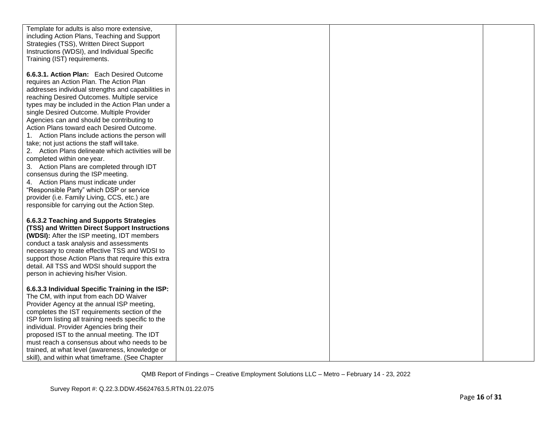| Template for adults is also more extensive,         |  |  |
|-----------------------------------------------------|--|--|
|                                                     |  |  |
| including Action Plans, Teaching and Support        |  |  |
| Strategies (TSS), Written Direct Support            |  |  |
| Instructions (WDSI), and Individual Specific        |  |  |
| Training (IST) requirements.                        |  |  |
|                                                     |  |  |
| 6.6.3.1. Action Plan: Each Desired Outcome          |  |  |
| requires an Action Plan. The Action Plan            |  |  |
| addresses individual strengths and capabilities in  |  |  |
| reaching Desired Outcomes. Multiple service         |  |  |
| types may be included in the Action Plan under a    |  |  |
| single Desired Outcome. Multiple Provider           |  |  |
| Agencies can and should be contributing to          |  |  |
| Action Plans toward each Desired Outcome.           |  |  |
| 1. Action Plans include actions the person will     |  |  |
| take; not just actions the staff will take.         |  |  |
| 2. Action Plans delineate which activities will be  |  |  |
|                                                     |  |  |
| completed within one year.                          |  |  |
| 3. Action Plans are completed through IDT           |  |  |
| consensus during the ISP meeting.                   |  |  |
| 4. Action Plans must indicate under                 |  |  |
| "Responsible Party" which DSP or service            |  |  |
| provider (i.e. Family Living, CCS, etc.) are        |  |  |
| responsible for carrying out the Action Step.       |  |  |
|                                                     |  |  |
| 6.6.3.2 Teaching and Supports Strategies            |  |  |
| (TSS) and Written Direct Support Instructions       |  |  |
| (WDSI): After the ISP meeting, IDT members          |  |  |
| conduct a task analysis and assessments             |  |  |
| necessary to create effective TSS and WDSI to       |  |  |
| support those Action Plans that require this extra  |  |  |
| detail. All TSS and WDSI should support the         |  |  |
| person in achieving his/her Vision.                 |  |  |
|                                                     |  |  |
| 6.6.3.3 Individual Specific Training in the ISP:    |  |  |
| The CM, with input from each DD Waiver              |  |  |
| Provider Agency at the annual ISP meeting,          |  |  |
| completes the IST requirements section of the       |  |  |
| ISP form listing all training needs specific to the |  |  |
| individual. Provider Agencies bring their           |  |  |
| proposed IST to the annual meeting. The IDT         |  |  |
| must reach a consensus about who needs to be        |  |  |
|                                                     |  |  |
| skill), and within what timeframe. (See Chapter     |  |  |
| trained, at what level (awareness, knowledge or     |  |  |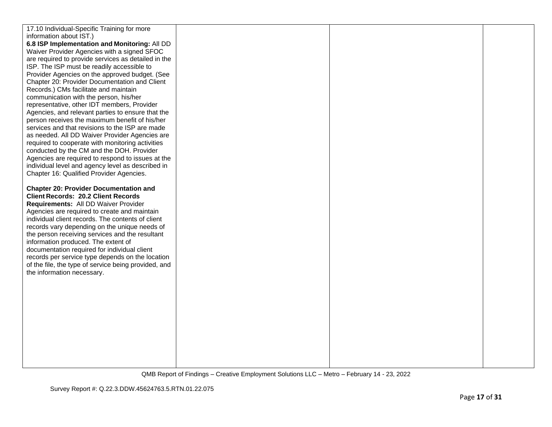| 17.10 Individual-Specific Training for more                                                         |  |  |
|-----------------------------------------------------------------------------------------------------|--|--|
| information about IST.)                                                                             |  |  |
| 6.8 ISP Implementation and Monitoring: All DD                                                       |  |  |
| Waiver Provider Agencies with a signed SFOC                                                         |  |  |
| are required to provide services as detailed in the                                                 |  |  |
| ISP. The ISP must be readily accessible to                                                          |  |  |
| Provider Agencies on the approved budget. (See                                                      |  |  |
| Chapter 20: Provider Documentation and Client                                                       |  |  |
| Records.) CMs facilitate and maintain                                                               |  |  |
| communication with the person, his/her                                                              |  |  |
| representative, other IDT members, Provider                                                         |  |  |
|                                                                                                     |  |  |
| Agencies, and relevant parties to ensure that the<br>person receives the maximum benefit of his/her |  |  |
|                                                                                                     |  |  |
| services and that revisions to the ISP are made                                                     |  |  |
| as needed. All DD Waiver Provider Agencies are                                                      |  |  |
| required to cooperate with monitoring activities                                                    |  |  |
| conducted by the CM and the DOH. Provider                                                           |  |  |
| Agencies are required to respond to issues at the                                                   |  |  |
| individual level and agency level as described in                                                   |  |  |
| Chapter 16: Qualified Provider Agencies.                                                            |  |  |
| <b>Chapter 20: Provider Documentation and</b>                                                       |  |  |
| <b>Client Records: 20.2 Client Records</b>                                                          |  |  |
| Requirements: All DD Waiver Provider                                                                |  |  |
| Agencies are required to create and maintain                                                        |  |  |
| individual client records. The contents of client                                                   |  |  |
| records vary depending on the unique needs of                                                       |  |  |
| the person receiving services and the resultant                                                     |  |  |
| information produced. The extent of                                                                 |  |  |
| documentation required for individual client                                                        |  |  |
| records per service type depends on the location                                                    |  |  |
| of the file, the type of service being provided, and                                                |  |  |
| the information necessary.                                                                          |  |  |
|                                                                                                     |  |  |
|                                                                                                     |  |  |
|                                                                                                     |  |  |
|                                                                                                     |  |  |
|                                                                                                     |  |  |
|                                                                                                     |  |  |
|                                                                                                     |  |  |
|                                                                                                     |  |  |
|                                                                                                     |  |  |
|                                                                                                     |  |  |
|                                                                                                     |  |  |
|                                                                                                     |  |  |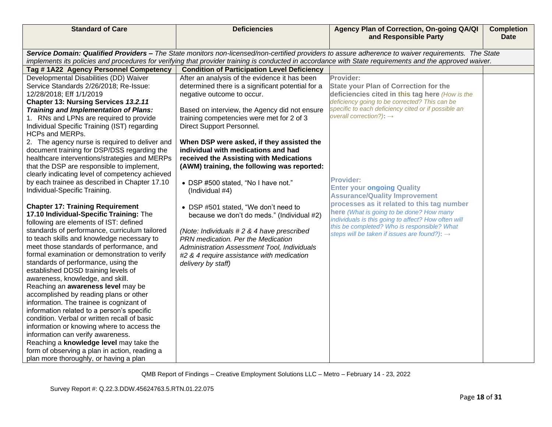| <b>Standard of Care</b>                         | <b>Deficiencies</b>                                                                                                                                 | Agency Plan of Correction, On-going QA/QI<br>and Responsible Party                                                                                      | <b>Completion</b><br><b>Date</b> |  |  |  |  |
|-------------------------------------------------|-----------------------------------------------------------------------------------------------------------------------------------------------------|---------------------------------------------------------------------------------------------------------------------------------------------------------|----------------------------------|--|--|--|--|
|                                                 |                                                                                                                                                     |                                                                                                                                                         |                                  |  |  |  |  |
|                                                 | Service Domain: Qualified Providers - The State monitors non-licensed/non-certified providers to assure adherence to waiver requirements. The State |                                                                                                                                                         |                                  |  |  |  |  |
|                                                 |                                                                                                                                                     | implements its policies and procedures for verifying that provider training is conducted in accordance with State requirements and the approved waiver. |                                  |  |  |  |  |
| Tag #1A22 Agency Personnel Competency           | <b>Condition of Participation Level Deficiency</b>                                                                                                  |                                                                                                                                                         |                                  |  |  |  |  |
| Developmental Disabilities (DD) Waiver          | After an analysis of the evidence it has been                                                                                                       | Provider:                                                                                                                                               |                                  |  |  |  |  |
| Service Standards 2/26/2018; Re-Issue:          | determined there is a significant potential for a                                                                                                   | <b>State your Plan of Correction for the</b>                                                                                                            |                                  |  |  |  |  |
| 12/28/2018; Eff 1/1/2019                        | negative outcome to occur.                                                                                                                          | deficiencies cited in this tag here (How is the                                                                                                         |                                  |  |  |  |  |
| Chapter 13: Nursing Services 13.2.11            |                                                                                                                                                     | deficiency going to be corrected? This can be                                                                                                           |                                  |  |  |  |  |
| Training and Implementation of Plans:           | Based on interview, the Agency did not ensure                                                                                                       | specific to each deficiency cited or if possible an                                                                                                     |                                  |  |  |  |  |
| 1. RNs and LPNs are required to provide         | training competencies were met for 2 of 3                                                                                                           | overall correction?): $\rightarrow$                                                                                                                     |                                  |  |  |  |  |
| Individual Specific Training (IST) regarding    | Direct Support Personnel.                                                                                                                           |                                                                                                                                                         |                                  |  |  |  |  |
| <b>HCPs and MERPs.</b>                          |                                                                                                                                                     |                                                                                                                                                         |                                  |  |  |  |  |
| 2. The agency nurse is required to deliver and  | When DSP were asked, if they assisted the                                                                                                           |                                                                                                                                                         |                                  |  |  |  |  |
| document training for DSP/DSS regarding the     | individual with medications and had                                                                                                                 |                                                                                                                                                         |                                  |  |  |  |  |
| healthcare interventions/strategies and MERPs   | received the Assisting with Medications                                                                                                             |                                                                                                                                                         |                                  |  |  |  |  |
| that the DSP are responsible to implement,      | (AWM) training, the following was reported:                                                                                                         |                                                                                                                                                         |                                  |  |  |  |  |
| clearly indicating level of competency achieved |                                                                                                                                                     |                                                                                                                                                         |                                  |  |  |  |  |
| by each trainee as described in Chapter 17.10   | • DSP #500 stated, "No I have not."                                                                                                                 | <b>Provider:</b>                                                                                                                                        |                                  |  |  |  |  |
| Individual-Specific Training.                   | (Individual #4)                                                                                                                                     | <b>Enter your ongoing Quality</b>                                                                                                                       |                                  |  |  |  |  |
|                                                 |                                                                                                                                                     | <b>Assurance/Quality Improvement</b>                                                                                                                    |                                  |  |  |  |  |
| <b>Chapter 17: Training Requirement</b>         | • DSP #501 stated, "We don't need to                                                                                                                | processes as it related to this tag number                                                                                                              |                                  |  |  |  |  |
| 17.10 Individual-Specific Training: The         | because we don't do meds." (Individual #2)                                                                                                          | here (What is going to be done? How many<br>individuals is this going to affect? How often will                                                         |                                  |  |  |  |  |
| following are elements of IST: defined          |                                                                                                                                                     | this be completed? Who is responsible? What                                                                                                             |                                  |  |  |  |  |
| standards of performance, curriculum tailored   | (Note: Individuals #2 & 4 have prescribed                                                                                                           | steps will be taken if issues are found?): $\rightarrow$                                                                                                |                                  |  |  |  |  |
| to teach skills and knowledge necessary to      | PRN medication. Per the Medication                                                                                                                  |                                                                                                                                                         |                                  |  |  |  |  |
| meet those standards of performance, and        | Administration Assessment Tool, Individuals                                                                                                         |                                                                                                                                                         |                                  |  |  |  |  |
| formal examination or demonstration to verify   | #2 & 4 require assistance with medication                                                                                                           |                                                                                                                                                         |                                  |  |  |  |  |
| standards of performance, using the             | delivery by staff)                                                                                                                                  |                                                                                                                                                         |                                  |  |  |  |  |
| established DDSD training levels of             |                                                                                                                                                     |                                                                                                                                                         |                                  |  |  |  |  |
| awareness, knowledge, and skill.                |                                                                                                                                                     |                                                                                                                                                         |                                  |  |  |  |  |
| Reaching an awareness level may be              |                                                                                                                                                     |                                                                                                                                                         |                                  |  |  |  |  |
| accomplished by reading plans or other          |                                                                                                                                                     |                                                                                                                                                         |                                  |  |  |  |  |
| information. The trainee is cognizant of        |                                                                                                                                                     |                                                                                                                                                         |                                  |  |  |  |  |
| information related to a person's specific      |                                                                                                                                                     |                                                                                                                                                         |                                  |  |  |  |  |
| condition. Verbal or written recall of basic    |                                                                                                                                                     |                                                                                                                                                         |                                  |  |  |  |  |
| information or knowing where to access the      |                                                                                                                                                     |                                                                                                                                                         |                                  |  |  |  |  |
| information can verify awareness.               |                                                                                                                                                     |                                                                                                                                                         |                                  |  |  |  |  |
| Reaching a knowledge level may take the         |                                                                                                                                                     |                                                                                                                                                         |                                  |  |  |  |  |
| form of observing a plan in action, reading a   |                                                                                                                                                     |                                                                                                                                                         |                                  |  |  |  |  |
| plan more thoroughly, or having a plan          |                                                                                                                                                     |                                                                                                                                                         |                                  |  |  |  |  |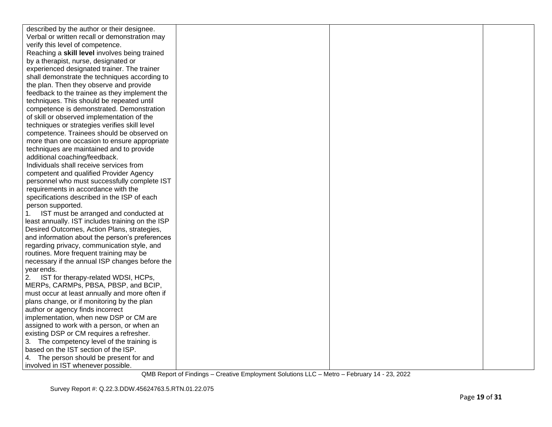| described by the author or their designee.       |  |  |
|--------------------------------------------------|--|--|
| Verbal or written recall or demonstration may    |  |  |
| verify this level of competence.                 |  |  |
| Reaching a skill level involves being trained    |  |  |
| by a therapist, nurse, designated or             |  |  |
| experienced designated trainer. The trainer      |  |  |
| shall demonstrate the techniques according to    |  |  |
| the plan. Then they observe and provide          |  |  |
| feedback to the trainee as they implement the    |  |  |
| techniques. This should be repeated until        |  |  |
| competence is demonstrated. Demonstration        |  |  |
| of skill or observed implementation of the       |  |  |
| techniques or strategies verifies skill level    |  |  |
| competence. Trainees should be observed on       |  |  |
| more than one occasion to ensure appropriate     |  |  |
| techniques are maintained and to provide         |  |  |
| additional coaching/feedback.                    |  |  |
| Individuals shall receive services from          |  |  |
| competent and qualified Provider Agency          |  |  |
| personnel who must successfully complete IST     |  |  |
| requirements in accordance with the              |  |  |
| specifications described in the ISP of each      |  |  |
| person supported.                                |  |  |
| IST must be arranged and conducted at<br>1.      |  |  |
| least annually. IST includes training on the ISP |  |  |
| Desired Outcomes, Action Plans, strategies,      |  |  |
| and information about the person's preferences   |  |  |
| regarding privacy, communication style, and      |  |  |
| routines. More frequent training may be          |  |  |
| necessary if the annual ISP changes before the   |  |  |
| year ends.                                       |  |  |
| IST for therapy-related WDSI, HCPs,<br>2.        |  |  |
| MERPs, CARMPs, PBSA, PBSP, and BCIP,             |  |  |
| must occur at least annually and more often if   |  |  |
| plans change, or if monitoring by the plan       |  |  |
| author or agency finds incorrect                 |  |  |
| implementation, when new DSP or CM are           |  |  |
| assigned to work with a person, or when an       |  |  |
| existing DSP or CM requires a refresher.         |  |  |
| 3. The competency level of the training is       |  |  |
| based on the IST section of the ISP.             |  |  |
| 4. The person should be present for and          |  |  |
| involved in IST whenever possible.               |  |  |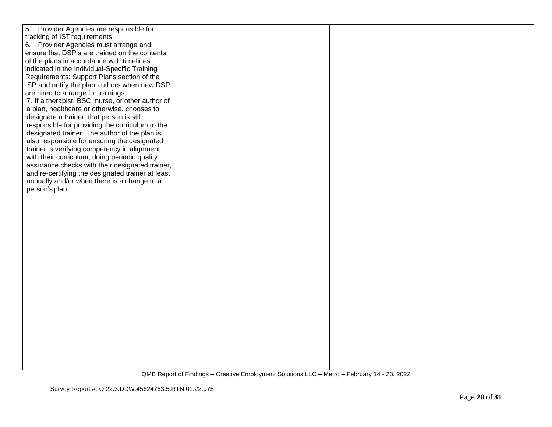| 5. Provider Agencies are responsible for          |  |  |
|---------------------------------------------------|--|--|
| tracking of IST requirements.                     |  |  |
|                                                   |  |  |
| 6. Provider Agencies must arrange and             |  |  |
| ensure that DSP's are trained on the contents     |  |  |
| of the plans in accordance with timelines         |  |  |
| indicated in the Individual-Specific Training     |  |  |
| Requirements: Support Plans section of the        |  |  |
| ISP and notify the plan authors when new DSP      |  |  |
| are hired to arrange for trainings.               |  |  |
| 7. If a therapist, BSC, nurse, or other author of |  |  |
| a plan, healthcare or otherwise, chooses to       |  |  |
| designate a trainer, that person is still         |  |  |
| responsible for providing the curriculum to the   |  |  |
| designated trainer. The author of the plan is     |  |  |
| also responsible for ensuring the designated      |  |  |
| trainer is verifying competency in alignment      |  |  |
| with their curriculum, doing periodic quality     |  |  |
|                                                   |  |  |
| assurance checks with their designated trainer,   |  |  |
| and re-certifying the designated trainer at least |  |  |
| annually and/or when there is a change to a       |  |  |
| person's plan.                                    |  |  |
|                                                   |  |  |
|                                                   |  |  |
|                                                   |  |  |
|                                                   |  |  |
|                                                   |  |  |
|                                                   |  |  |
|                                                   |  |  |
|                                                   |  |  |
|                                                   |  |  |
|                                                   |  |  |
|                                                   |  |  |
|                                                   |  |  |
|                                                   |  |  |
|                                                   |  |  |
|                                                   |  |  |
|                                                   |  |  |
|                                                   |  |  |
|                                                   |  |  |
|                                                   |  |  |
|                                                   |  |  |
|                                                   |  |  |
|                                                   |  |  |
|                                                   |  |  |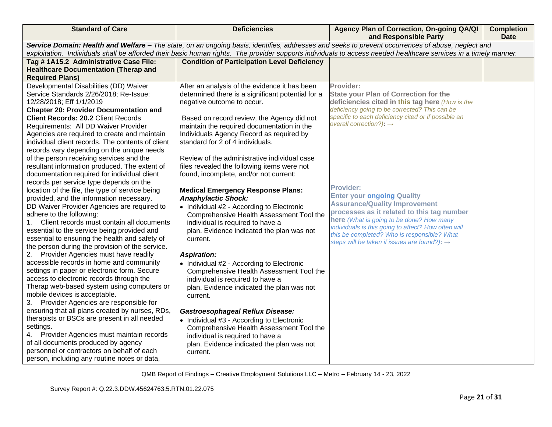| <b>Standard of Care</b>                                                                                                                                          | <b>Deficiencies</b>                                | Agency Plan of Correction, On-going QA/QI<br>and Responsible Party                                      | <b>Completion</b><br><b>Date</b> |  |  |
|------------------------------------------------------------------------------------------------------------------------------------------------------------------|----------------------------------------------------|---------------------------------------------------------------------------------------------------------|----------------------------------|--|--|
| Service Domain: Health and Welfare - The state, on an ongoing basis, identifies, addresses and seeks to prevent occurrences of abuse, neglect and                |                                                    |                                                                                                         |                                  |  |  |
| exploitation. Individuals shall be afforded their basic human rights. The provider supports individuals to access needed healthcare services in a timely manner. |                                                    |                                                                                                         |                                  |  |  |
| Tag #1A15.2 Administrative Case File:                                                                                                                            | <b>Condition of Participation Level Deficiency</b> |                                                                                                         |                                  |  |  |
| <b>Healthcare Documentation (Therap and</b>                                                                                                                      |                                                    |                                                                                                         |                                  |  |  |
| <b>Required Plans)</b>                                                                                                                                           |                                                    |                                                                                                         |                                  |  |  |
| Developmental Disabilities (DD) Waiver                                                                                                                           | After an analysis of the evidence it has been      | Provider:                                                                                               |                                  |  |  |
| Service Standards 2/26/2018; Re-Issue:                                                                                                                           | determined there is a significant potential for a  | <b>State your Plan of Correction for the</b>                                                            |                                  |  |  |
| 12/28/2018; Eff 1/1/2019                                                                                                                                         | negative outcome to occur.                         | deficiencies cited in this tag here (How is the<br>deficiency going to be corrected? This can be        |                                  |  |  |
| <b>Chapter 20: Provider Documentation and</b><br><b>Client Records: 20.2 Client Records</b>                                                                      | Based on record review, the Agency did not         | specific to each deficiency cited or if possible an                                                     |                                  |  |  |
| Requirements: All DD Waiver Provider                                                                                                                             | maintain the required documentation in the         | overall correction?): $\rightarrow$                                                                     |                                  |  |  |
| Agencies are required to create and maintain                                                                                                                     | Individuals Agency Record as required by           |                                                                                                         |                                  |  |  |
| individual client records. The contents of client                                                                                                                | standard for 2 of 4 individuals.                   |                                                                                                         |                                  |  |  |
| records vary depending on the unique needs                                                                                                                       |                                                    |                                                                                                         |                                  |  |  |
| of the person receiving services and the                                                                                                                         | Review of the administrative individual case       |                                                                                                         |                                  |  |  |
| resultant information produced. The extent of                                                                                                                    | files revealed the following items were not        |                                                                                                         |                                  |  |  |
| documentation required for individual client                                                                                                                     | found, incomplete, and/or not current:             |                                                                                                         |                                  |  |  |
| records per service type depends on the                                                                                                                          |                                                    |                                                                                                         |                                  |  |  |
| location of the file, the type of service being                                                                                                                  | <b>Medical Emergency Response Plans:</b>           | <b>Provider:</b>                                                                                        |                                  |  |  |
| provided, and the information necessary.                                                                                                                         | <b>Anaphylactic Shock:</b>                         | <b>Enter your ongoing Quality</b>                                                                       |                                  |  |  |
| DD Waiver Provider Agencies are required to                                                                                                                      | • Individual #2 - According to Electronic          | <b>Assurance/Quality Improvement</b>                                                                    |                                  |  |  |
| adhere to the following:                                                                                                                                         | Comprehensive Health Assessment Tool the           | processes as it related to this tag number                                                              |                                  |  |  |
| Client records must contain all documents<br>1.                                                                                                                  | individual is required to have a                   | here (What is going to be done? How many                                                                |                                  |  |  |
| essential to the service being provided and                                                                                                                      | plan. Evidence indicated the plan was not          | individuals is this going to affect? How often will                                                     |                                  |  |  |
| essential to ensuring the health and safety of                                                                                                                   | current.                                           | this be completed? Who is responsible? What<br>steps will be taken if issues are found?): $\rightarrow$ |                                  |  |  |
| the person during the provision of the service.                                                                                                                  |                                                    |                                                                                                         |                                  |  |  |
| Provider Agencies must have readily<br>2.                                                                                                                        | <b>Aspiration:</b>                                 |                                                                                                         |                                  |  |  |
| accessible records in home and community                                                                                                                         | • Individual #2 - According to Electronic          |                                                                                                         |                                  |  |  |
| settings in paper or electronic form. Secure                                                                                                                     | Comprehensive Health Assessment Tool the           |                                                                                                         |                                  |  |  |
| access to electronic records through the                                                                                                                         | individual is required to have a                   |                                                                                                         |                                  |  |  |
| Therap web-based system using computers or                                                                                                                       | plan. Evidence indicated the plan was not          |                                                                                                         |                                  |  |  |
| mobile devices is acceptable.                                                                                                                                    | current.                                           |                                                                                                         |                                  |  |  |
| Provider Agencies are responsible for<br>3.                                                                                                                      |                                                    |                                                                                                         |                                  |  |  |
| ensuring that all plans created by nurses, RDs,                                                                                                                  | <b>Gastroesophageal Reflux Disease:</b>            |                                                                                                         |                                  |  |  |
| therapists or BSCs are present in all needed                                                                                                                     | • Individual #3 - According to Electronic          |                                                                                                         |                                  |  |  |
| settings.                                                                                                                                                        | Comprehensive Health Assessment Tool the           |                                                                                                         |                                  |  |  |
| Provider Agencies must maintain records<br>4.                                                                                                                    | individual is required to have a                   |                                                                                                         |                                  |  |  |
| of all documents produced by agency                                                                                                                              | plan. Evidence indicated the plan was not          |                                                                                                         |                                  |  |  |
| personnel or contractors on behalf of each                                                                                                                       | current.                                           |                                                                                                         |                                  |  |  |
| person, including any routine notes or data,                                                                                                                     |                                                    |                                                                                                         |                                  |  |  |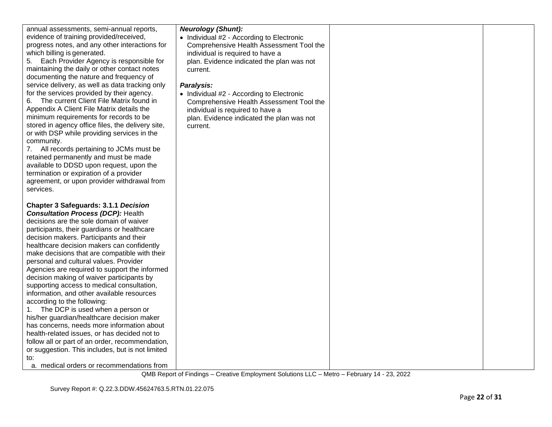| annual assessments, semi-annual reports,                                                         | <b>Neurology (Shunt):</b>                 |  |
|--------------------------------------------------------------------------------------------------|-------------------------------------------|--|
| evidence of training provided/received,                                                          | • Individual #2 - According to Electronic |  |
| progress notes, and any other interactions for                                                   | Comprehensive Health Assessment Tool the  |  |
| which billing is generated.                                                                      | individual is required to have a          |  |
| Each Provider Agency is responsible for<br>5.                                                    | plan. Evidence indicated the plan was not |  |
| maintaining the daily or other contact notes                                                     | current.                                  |  |
| documenting the nature and frequency of                                                          |                                           |  |
| service delivery, as well as data tracking only                                                  | Paralysis:                                |  |
| for the services provided by their agency.                                                       | • Individual #2 - According to Electronic |  |
| The current Client File Matrix found in<br>6.                                                    | Comprehensive Health Assessment Tool the  |  |
| Appendix A Client File Matrix details the                                                        | individual is required to have a          |  |
| minimum requirements for records to be                                                           | plan. Evidence indicated the plan was not |  |
| stored in agency office files, the delivery site,<br>or with DSP while providing services in the | current.                                  |  |
| community.                                                                                       |                                           |  |
| 7. All records pertaining to JCMs must be                                                        |                                           |  |
| retained permanently and must be made                                                            |                                           |  |
| available to DDSD upon request, upon the                                                         |                                           |  |
| termination or expiration of a provider                                                          |                                           |  |
| agreement, or upon provider withdrawal from                                                      |                                           |  |
| services.                                                                                        |                                           |  |
|                                                                                                  |                                           |  |
| <b>Chapter 3 Safeguards: 3.1.1 Decision</b>                                                      |                                           |  |
| <b>Consultation Process (DCP): Health</b>                                                        |                                           |  |
| decisions are the sole domain of waiver                                                          |                                           |  |
| participants, their guardians or healthcare                                                      |                                           |  |
| decision makers. Participants and their                                                          |                                           |  |
| healthcare decision makers can confidently                                                       |                                           |  |
| make decisions that are compatible with their                                                    |                                           |  |
| personal and cultural values. Provider                                                           |                                           |  |
| Agencies are required to support the informed                                                    |                                           |  |
| decision making of waiver participants by                                                        |                                           |  |
| supporting access to medical consultation,                                                       |                                           |  |
| information, and other available resources                                                       |                                           |  |
| according to the following:                                                                      |                                           |  |
| The DCP is used when a person or<br>1.                                                           |                                           |  |
| his/her guardian/healthcare decision maker                                                       |                                           |  |
| has concerns, needs more information about                                                       |                                           |  |
| health-related issues, or has decided not to                                                     |                                           |  |
| follow all or part of an order, recommendation,                                                  |                                           |  |
| or suggestion. This includes, but is not limited                                                 |                                           |  |
| to:                                                                                              |                                           |  |
| a. medical orders or recommendations from                                                        |                                           |  |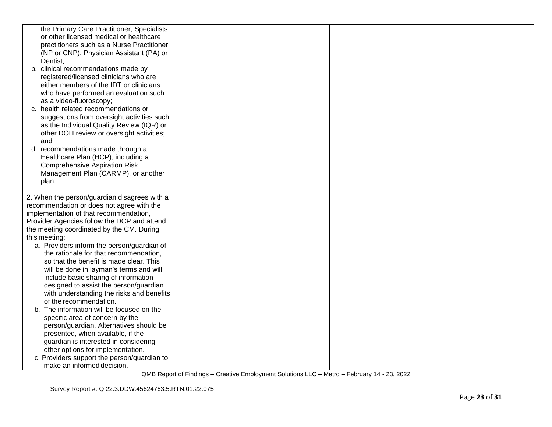| the Primary Care Practitioner, Specialists   |  |  |
|----------------------------------------------|--|--|
| or other licensed medical or healthcare      |  |  |
| practitioners such as a Nurse Practitioner   |  |  |
| (NP or CNP), Physician Assistant (PA) or     |  |  |
| Dentist:                                     |  |  |
| b. clinical recommendations made by          |  |  |
| registered/licensed clinicians who are       |  |  |
| either members of the IDT or clinicians      |  |  |
| who have performed an evaluation such        |  |  |
| as a video-fluoroscopy;                      |  |  |
| c. health related recommendations or         |  |  |
| suggestions from oversight activities such   |  |  |
| as the Individual Quality Review (IQR) or    |  |  |
| other DOH review or oversight activities;    |  |  |
| and                                          |  |  |
| d. recommendations made through a            |  |  |
| Healthcare Plan (HCP), including a           |  |  |
| <b>Comprehensive Aspiration Risk</b>         |  |  |
| Management Plan (CARMP), or another          |  |  |
| plan.                                        |  |  |
|                                              |  |  |
| 2. When the person/guardian disagrees with a |  |  |
| recommendation or does not agree with the    |  |  |
| implementation of that recommendation,       |  |  |
| Provider Agencies follow the DCP and attend  |  |  |
| the meeting coordinated by the CM. During    |  |  |
| this meeting:                                |  |  |
| a. Providers inform the person/guardian of   |  |  |
| the rationale for that recommendation,       |  |  |
| so that the benefit is made clear. This      |  |  |
| will be done in layman's terms and will      |  |  |
| include basic sharing of information         |  |  |
| designed to assist the person/guardian       |  |  |
| with understanding the risks and benefits    |  |  |
| of the recommendation.                       |  |  |
| b. The information will be focused on the    |  |  |
| specific area of concern by the              |  |  |
| person/guardian. Alternatives should be      |  |  |
| presented, when available, if the            |  |  |
| guardian is interested in considering        |  |  |
| other options for implementation.            |  |  |
| c. Providers support the person/guardian to  |  |  |
| make an informed decision.                   |  |  |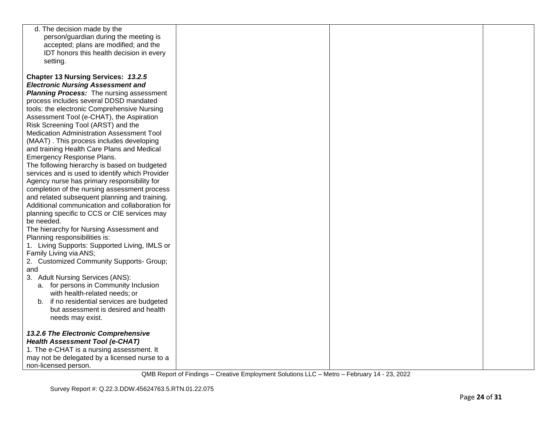| d. The decision made by the                     |  |  |
|-------------------------------------------------|--|--|
| person/guardian during the meeting is           |  |  |
| accepted; plans are modified; and the           |  |  |
| IDT honors this health decision in every        |  |  |
| setting.                                        |  |  |
|                                                 |  |  |
|                                                 |  |  |
| Chapter 13 Nursing Services: 13.2.5             |  |  |
| <b>Electronic Nursing Assessment and</b>        |  |  |
| <b>Planning Process:</b> The nursing assessment |  |  |
| process includes several DDSD mandated          |  |  |
| tools: the electronic Comprehensive Nursing     |  |  |
| Assessment Tool (e-CHAT), the Aspiration        |  |  |
| Risk Screening Tool (ARST) and the              |  |  |
| Medication Administration Assessment Tool       |  |  |
| (MAAT). This process includes developing        |  |  |
| and training Health Care Plans and Medical      |  |  |
| Emergency Response Plans.                       |  |  |
| The following hierarchy is based on budgeted    |  |  |
| services and is used to identify which Provider |  |  |
| Agency nurse has primary responsibility for     |  |  |
| completion of the nursing assessment process    |  |  |
| and related subsequent planning and training.   |  |  |
| Additional communication and collaboration for  |  |  |
| planning specific to CCS or CIE services may    |  |  |
| be needed.                                      |  |  |
| The hierarchy for Nursing Assessment and        |  |  |
| Planning responsibilities is:                   |  |  |
| 1. Living Supports: Supported Living, IMLS or   |  |  |
| Family Living via ANS;                          |  |  |
| 2. Customized Community Supports- Group;        |  |  |
| and                                             |  |  |
| 3. Adult Nursing Services (ANS):                |  |  |
| a. for persons in Community Inclusion           |  |  |
| with health-related needs; or                   |  |  |
| b. if no residential services are budgeted      |  |  |
| but assessment is desired and health            |  |  |
| needs may exist.                                |  |  |
|                                                 |  |  |
| 13.2.6 The Electronic Comprehensive             |  |  |
| <b>Health Assessment Tool (e-CHAT)</b>          |  |  |
| 1. The e-CHAT is a nursing assessment. It       |  |  |
| may not be delegated by a licensed nurse to a   |  |  |
| non-licensed person.                            |  |  |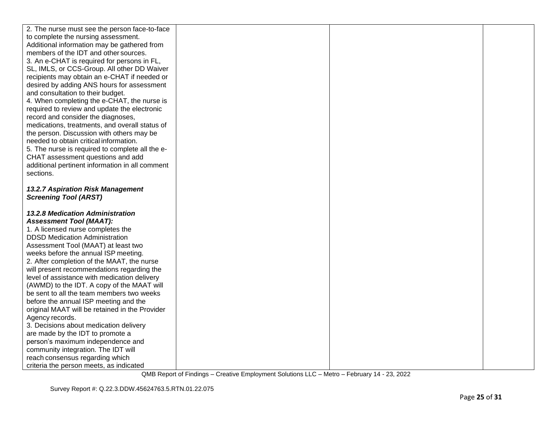| 2. The nurse must see the person face-to-face                              |  |  |
|----------------------------------------------------------------------------|--|--|
| to complete the nursing assessment.                                        |  |  |
| Additional information may be gathered from                                |  |  |
| members of the IDT and other sources.                                      |  |  |
| 3. An e-CHAT is required for persons in FL,                                |  |  |
| SL, IMLS, or CCS-Group. All other DD Waiver                                |  |  |
| recipients may obtain an e-CHAT if needed or                               |  |  |
| desired by adding ANS hours for assessment                                 |  |  |
| and consultation to their budget.                                          |  |  |
| 4. When completing the e-CHAT, the nurse is                                |  |  |
| required to review and update the electronic                               |  |  |
| record and consider the diagnoses,                                         |  |  |
| medications, treatments, and overall status of                             |  |  |
| the person. Discussion with others may be                                  |  |  |
| needed to obtain critical information.                                     |  |  |
| 5. The nurse is required to complete all the e-                            |  |  |
| CHAT assessment questions and add                                          |  |  |
| additional pertinent information in all comment                            |  |  |
| sections.                                                                  |  |  |
|                                                                            |  |  |
| 13.2.7 Aspiration Risk Management                                          |  |  |
| <b>Screening Tool (ARST)</b>                                               |  |  |
|                                                                            |  |  |
| <b>13.2.8 Medication Administration</b>                                    |  |  |
| <b>Assessment Tool (MAAT):</b>                                             |  |  |
| 1. A licensed nurse completes the                                          |  |  |
| <b>DDSD Medication Administration</b>                                      |  |  |
| Assessment Tool (MAAT) at least two                                        |  |  |
| weeks before the annual ISP meeting.                                       |  |  |
| 2. After completion of the MAAT, the nurse                                 |  |  |
| will present recommendations regarding the                                 |  |  |
| level of assistance with medication delivery                               |  |  |
| (AWMD) to the IDT. A copy of the MAAT will                                 |  |  |
| be sent to all the team members two weeks                                  |  |  |
| before the annual ISP meeting and the                                      |  |  |
| original MAAT will be retained in the Provider                             |  |  |
| Agency records.                                                            |  |  |
| 3. Decisions about medication delivery                                     |  |  |
| are made by the IDT to promote a                                           |  |  |
| person's maximum independence and                                          |  |  |
| community integration. The IDT will                                        |  |  |
| reach consensus regarding which<br>criteria the person meets, as indicated |  |  |
|                                                                            |  |  |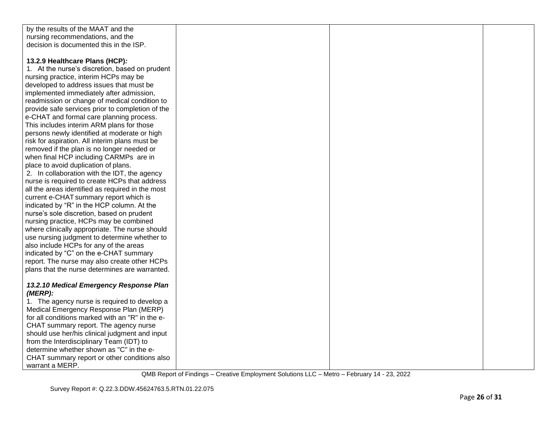| by the results of the MAAT and the               |  |  |
|--------------------------------------------------|--|--|
| nursing recommendations, and the                 |  |  |
| decision is documented this in the ISP.          |  |  |
|                                                  |  |  |
| 13.2.9 Healthcare Plans (HCP):                   |  |  |
| 1. At the nurse's discretion, based on prudent   |  |  |
| nursing practice, interim HCPs may be            |  |  |
| developed to address issues that must be         |  |  |
| implemented immediately after admission,         |  |  |
| readmission or change of medical condition to    |  |  |
| provide safe services prior to completion of the |  |  |
| e-CHAT and formal care planning process.         |  |  |
| This includes interim ARM plans for those        |  |  |
| persons newly identified at moderate or high     |  |  |
| risk for aspiration. All interim plans must be   |  |  |
| removed if the plan is no longer needed or       |  |  |
| when final HCP including CARMPs are in           |  |  |
| place to avoid duplication of plans.             |  |  |
| 2. In collaboration with the IDT, the agency     |  |  |
| nurse is required to create HCPs that address    |  |  |
| all the areas identified as required in the most |  |  |
| current e-CHAT summary report which is           |  |  |
| indicated by "R" in the HCP column. At the       |  |  |
| nurse's sole discretion, based on prudent        |  |  |
| nursing practice, HCPs may be combined           |  |  |
| where clinically appropriate. The nurse should   |  |  |
| use nursing judgment to determine whether to     |  |  |
| also include HCPs for any of the areas           |  |  |
| indicated by "C" on the e-CHAT summary           |  |  |
| report. The nurse may also create other HCPs     |  |  |
| plans that the nurse determines are warranted.   |  |  |
|                                                  |  |  |
| 13.2.10 Medical Emergency Response Plan          |  |  |
| $(MERP)$ :                                       |  |  |
| 1. The agency nurse is required to develop a     |  |  |
| Medical Emergency Response Plan (MERP)           |  |  |
| for all conditions marked with an "R" in the e-  |  |  |
| CHAT summary report. The agency nurse            |  |  |
| should use her/his clinical judgment and input   |  |  |
| from the Interdisciplinary Team (IDT) to         |  |  |
| determine whether shown as "C" in the e-         |  |  |
| CHAT summary report or other conditions also     |  |  |
| warrant a MERP.                                  |  |  |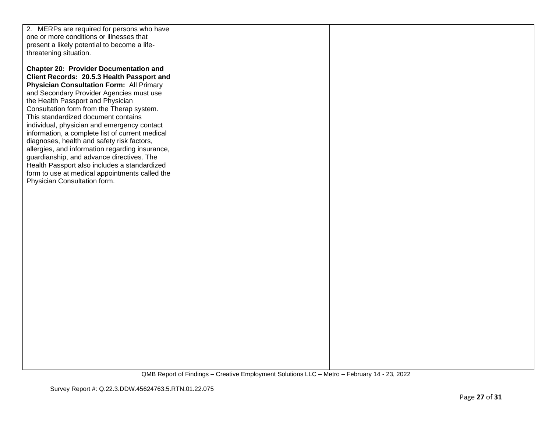| 2. MERPs are required for persons who have<br>one or more conditions or illnesses that<br>present a likely potential to become a life-<br>threatening situation.<br><b>Chapter 20: Provider Documentation and</b><br>Client Records: 20.5.3 Health Passport and<br><b>Physician Consultation Form: All Primary</b><br>and Secondary Provider Agencies must use<br>the Health Passport and Physician<br>Consultation form from the Therap system.<br>This standardized document contains<br>individual, physician and emergency contact<br>information, a complete list of current medical<br>diagnoses, health and safety risk factors,<br>allergies, and information regarding insurance,<br>guardianship, and advance directives. The<br>Health Passport also includes a standardized<br>form to use at medical appointments called the<br>Physician Consultation form. |  |  |
|---------------------------------------------------------------------------------------------------------------------------------------------------------------------------------------------------------------------------------------------------------------------------------------------------------------------------------------------------------------------------------------------------------------------------------------------------------------------------------------------------------------------------------------------------------------------------------------------------------------------------------------------------------------------------------------------------------------------------------------------------------------------------------------------------------------------------------------------------------------------------|--|--|
|---------------------------------------------------------------------------------------------------------------------------------------------------------------------------------------------------------------------------------------------------------------------------------------------------------------------------------------------------------------------------------------------------------------------------------------------------------------------------------------------------------------------------------------------------------------------------------------------------------------------------------------------------------------------------------------------------------------------------------------------------------------------------------------------------------------------------------------------------------------------------|--|--|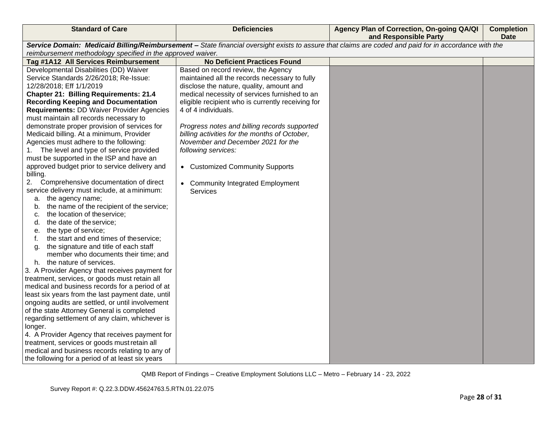| <b>Standard of Care</b>                                                               | <b>Deficiencies</b>                               | Agency Plan of Correction, On-going QA/QI<br>and Responsible Party                                                                                    | <b>Completion</b><br><b>Date</b> |
|---------------------------------------------------------------------------------------|---------------------------------------------------|-------------------------------------------------------------------------------------------------------------------------------------------------------|----------------------------------|
|                                                                                       |                                                   | Service Domain: Medicaid Billing/Reimbursement - State financial oversight exists to assure that claims are coded and paid for in accordance with the |                                  |
| reimbursement methodology specified in the approved waiver.                           |                                                   |                                                                                                                                                       |                                  |
| Tag #1A12 All Services Reimbursement                                                  | <b>No Deficient Practices Found</b>               |                                                                                                                                                       |                                  |
| Developmental Disabilities (DD) Waiver                                                | Based on record review, the Agency                |                                                                                                                                                       |                                  |
| Service Standards 2/26/2018; Re-Issue:                                                | maintained all the records necessary to fully     |                                                                                                                                                       |                                  |
| 12/28/2018; Eff 1/1/2019                                                              | disclose the nature, quality, amount and          |                                                                                                                                                       |                                  |
| <b>Chapter 21: Billing Requirements: 21.4</b>                                         | medical necessity of services furnished to an     |                                                                                                                                                       |                                  |
| <b>Recording Keeping and Documentation</b>                                            | eligible recipient who is currently receiving for |                                                                                                                                                       |                                  |
| <b>Requirements: DD Waiver Provider Agencies</b>                                      | 4 of 4 individuals.                               |                                                                                                                                                       |                                  |
| must maintain all records necessary to                                                |                                                   |                                                                                                                                                       |                                  |
| demonstrate proper provision of services for                                          | Progress notes and billing records supported      |                                                                                                                                                       |                                  |
| Medicaid billing. At a minimum, Provider                                              | billing activities for the months of October,     |                                                                                                                                                       |                                  |
| Agencies must adhere to the following:                                                | November and December 2021 for the                |                                                                                                                                                       |                                  |
| 1. The level and type of service provided                                             | following services:                               |                                                                                                                                                       |                                  |
| must be supported in the ISP and have an                                              |                                                   |                                                                                                                                                       |                                  |
| approved budget prior to service delivery and                                         | • Customized Community Supports                   |                                                                                                                                                       |                                  |
| billing.                                                                              |                                                   |                                                                                                                                                       |                                  |
| Comprehensive documentation of direct<br>2.                                           | • Community Integrated Employment                 |                                                                                                                                                       |                                  |
| service delivery must include, at a minimum:                                          | <b>Services</b>                                   |                                                                                                                                                       |                                  |
| the agency name;<br>а.                                                                |                                                   |                                                                                                                                                       |                                  |
| the name of the recipient of the service;<br>b.                                       |                                                   |                                                                                                                                                       |                                  |
| the location of theservice;<br>c.                                                     |                                                   |                                                                                                                                                       |                                  |
| the date of the service;<br>d.                                                        |                                                   |                                                                                                                                                       |                                  |
| the type of service;<br>е.                                                            |                                                   |                                                                                                                                                       |                                  |
| the start and end times of theservice;<br>f.<br>the signature and title of each staff |                                                   |                                                                                                                                                       |                                  |
| a.<br>member who documents their time; and                                            |                                                   |                                                                                                                                                       |                                  |
| the nature of services.<br>h.                                                         |                                                   |                                                                                                                                                       |                                  |
| 3. A Provider Agency that receives payment for                                        |                                                   |                                                                                                                                                       |                                  |
| treatment, services, or goods must retain all                                         |                                                   |                                                                                                                                                       |                                  |
| medical and business records for a period of at                                       |                                                   |                                                                                                                                                       |                                  |
| least six years from the last payment date, until                                     |                                                   |                                                                                                                                                       |                                  |
| ongoing audits are settled, or until involvement                                      |                                                   |                                                                                                                                                       |                                  |
| of the state Attorney General is completed                                            |                                                   |                                                                                                                                                       |                                  |
| regarding settlement of any claim, whichever is                                       |                                                   |                                                                                                                                                       |                                  |
| longer.                                                                               |                                                   |                                                                                                                                                       |                                  |
| 4. A Provider Agency that receives payment for                                        |                                                   |                                                                                                                                                       |                                  |
| treatment, services or goods must retain all                                          |                                                   |                                                                                                                                                       |                                  |
| medical and business records relating to any of                                       |                                                   |                                                                                                                                                       |                                  |
| the following for a period of at least six years                                      |                                                   |                                                                                                                                                       |                                  |
|                                                                                       |                                                   |                                                                                                                                                       |                                  |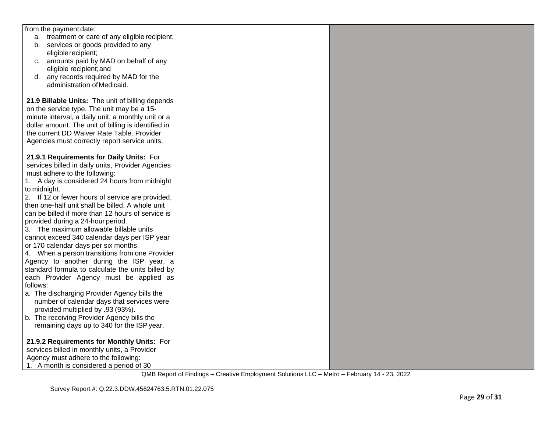| from the payment date:                              |  |  |
|-----------------------------------------------------|--|--|
| a. treatment or care of any eligible recipient;     |  |  |
| b. services or goods provided to any                |  |  |
| eligible recipient;                                 |  |  |
| c. amounts paid by MAD on behalf of any             |  |  |
| eligible recipient; and                             |  |  |
| any records required by MAD for the<br>d.           |  |  |
| administration of Medicaid.                         |  |  |
|                                                     |  |  |
| 21.9 Billable Units: The unit of billing depends    |  |  |
| on the service type. The unit may be a 15-          |  |  |
|                                                     |  |  |
| minute interval, a daily unit, a monthly unit or a  |  |  |
| dollar amount. The unit of billing is identified in |  |  |
| the current DD Waiver Rate Table. Provider          |  |  |
| Agencies must correctly report service units.       |  |  |
|                                                     |  |  |
| 21.9.1 Requirements for Daily Units: For            |  |  |
| services billed in daily units, Provider Agencies   |  |  |
| must adhere to the following:                       |  |  |
| 1. A day is considered 24 hours from midnight       |  |  |
| to midnight.                                        |  |  |
| 2. If 12 or fewer hours of service are provided,    |  |  |
| then one-half unit shall be billed. A whole unit    |  |  |
| can be billed if more than 12 hours of service is   |  |  |
| provided during a 24-hour period.                   |  |  |
| 3. The maximum allowable billable units             |  |  |
| cannot exceed 340 calendar days per ISP year        |  |  |
| or 170 calendar days per six months.                |  |  |
| 4. When a person transitions from one Provider      |  |  |
| Agency to another during the ISP year, a            |  |  |
| standard formula to calculate the units billed by   |  |  |
|                                                     |  |  |
| each Provider Agency must be applied as<br>follows: |  |  |
|                                                     |  |  |
| a. The discharging Provider Agency bills the        |  |  |
| number of calendar days that services were          |  |  |
| provided multiplied by .93 (93%).                   |  |  |
| b. The receiving Provider Agency bills the          |  |  |
| remaining days up to 340 for the ISP year.          |  |  |
|                                                     |  |  |
| 21.9.2 Requirements for Monthly Units: For          |  |  |
| services billed in monthly units, a Provider        |  |  |
| Agency must adhere to the following:                |  |  |
| 1. A month is considered a period of 30             |  |  |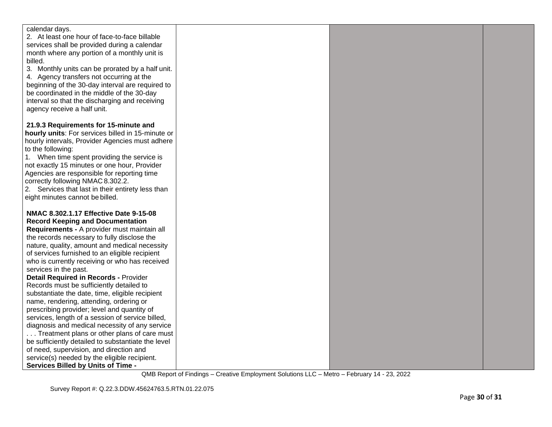| calendar days.<br>2. At least one hour of face-to-face billable<br>services shall be provided during a calendar<br>month where any portion of a monthly unit is<br>billed.<br>3. Monthly units can be prorated by a half unit.<br>4. Agency transfers not occurring at the<br>beginning of the 30-day interval are required to<br>be coordinated in the middle of the 30-day<br>interval so that the discharging and receiving<br>agency receive a half unit.<br>21.9.3 Requirements for 15-minute and<br>hourly units: For services billed in 15-minute or<br>hourly intervals, Provider Agencies must adhere<br>to the following:<br>1. When time spent providing the service is<br>not exactly 15 minutes or one hour, Provider<br>Agencies are responsible for reporting time<br>correctly following NMAC 8.302.2.<br>2. Services that last in their entirety less than<br>eight minutes cannot be billed.<br>NMAC 8.302.1.17 Effective Date 9-15-08<br><b>Record Keeping and Documentation</b><br>Requirements - A provider must maintain all<br>the records necessary to fully disclose the<br>nature, quality, amount and medical necessity<br>of services furnished to an eligible recipient<br>who is currently receiving or who has received<br>services in the past.<br><b>Detail Required in Records - Provider</b><br>Records must be sufficiently detailed to<br>substantiate the date, time, eligible recipient<br>name, rendering, attending, ordering or<br>prescribing provider; level and quantity of<br>services, length of a session of service billed,<br>diagnosis and medical necessity of any service<br>Treatment plans or other plans of care must<br>be sufficiently detailed to substantiate the level<br>of need, supervision, and direction and<br>service(s) needed by the eligible recipient. |                                           |  |  |
|--------------------------------------------------------------------------------------------------------------------------------------------------------------------------------------------------------------------------------------------------------------------------------------------------------------------------------------------------------------------------------------------------------------------------------------------------------------------------------------------------------------------------------------------------------------------------------------------------------------------------------------------------------------------------------------------------------------------------------------------------------------------------------------------------------------------------------------------------------------------------------------------------------------------------------------------------------------------------------------------------------------------------------------------------------------------------------------------------------------------------------------------------------------------------------------------------------------------------------------------------------------------------------------------------------------------------------------------------------------------------------------------------------------------------------------------------------------------------------------------------------------------------------------------------------------------------------------------------------------------------------------------------------------------------------------------------------------------------------------------------------------------------------------------------------------------------------|-------------------------------------------|--|--|
|                                                                                                                                                                                                                                                                                                                                                                                                                                                                                                                                                                                                                                                                                                                                                                                                                                                                                                                                                                                                                                                                                                                                                                                                                                                                                                                                                                                                                                                                                                                                                                                                                                                                                                                                                                                                                                |                                           |  |  |
|                                                                                                                                                                                                                                                                                                                                                                                                                                                                                                                                                                                                                                                                                                                                                                                                                                                                                                                                                                                                                                                                                                                                                                                                                                                                                                                                                                                                                                                                                                                                                                                                                                                                                                                                                                                                                                |                                           |  |  |
|                                                                                                                                                                                                                                                                                                                                                                                                                                                                                                                                                                                                                                                                                                                                                                                                                                                                                                                                                                                                                                                                                                                                                                                                                                                                                                                                                                                                                                                                                                                                                                                                                                                                                                                                                                                                                                |                                           |  |  |
|                                                                                                                                                                                                                                                                                                                                                                                                                                                                                                                                                                                                                                                                                                                                                                                                                                                                                                                                                                                                                                                                                                                                                                                                                                                                                                                                                                                                                                                                                                                                                                                                                                                                                                                                                                                                                                |                                           |  |  |
|                                                                                                                                                                                                                                                                                                                                                                                                                                                                                                                                                                                                                                                                                                                                                                                                                                                                                                                                                                                                                                                                                                                                                                                                                                                                                                                                                                                                                                                                                                                                                                                                                                                                                                                                                                                                                                |                                           |  |  |
|                                                                                                                                                                                                                                                                                                                                                                                                                                                                                                                                                                                                                                                                                                                                                                                                                                                                                                                                                                                                                                                                                                                                                                                                                                                                                                                                                                                                                                                                                                                                                                                                                                                                                                                                                                                                                                |                                           |  |  |
|                                                                                                                                                                                                                                                                                                                                                                                                                                                                                                                                                                                                                                                                                                                                                                                                                                                                                                                                                                                                                                                                                                                                                                                                                                                                                                                                                                                                                                                                                                                                                                                                                                                                                                                                                                                                                                |                                           |  |  |
|                                                                                                                                                                                                                                                                                                                                                                                                                                                                                                                                                                                                                                                                                                                                                                                                                                                                                                                                                                                                                                                                                                                                                                                                                                                                                                                                                                                                                                                                                                                                                                                                                                                                                                                                                                                                                                |                                           |  |  |
|                                                                                                                                                                                                                                                                                                                                                                                                                                                                                                                                                                                                                                                                                                                                                                                                                                                                                                                                                                                                                                                                                                                                                                                                                                                                                                                                                                                                                                                                                                                                                                                                                                                                                                                                                                                                                                |                                           |  |  |
|                                                                                                                                                                                                                                                                                                                                                                                                                                                                                                                                                                                                                                                                                                                                                                                                                                                                                                                                                                                                                                                                                                                                                                                                                                                                                                                                                                                                                                                                                                                                                                                                                                                                                                                                                                                                                                |                                           |  |  |
|                                                                                                                                                                                                                                                                                                                                                                                                                                                                                                                                                                                                                                                                                                                                                                                                                                                                                                                                                                                                                                                                                                                                                                                                                                                                                                                                                                                                                                                                                                                                                                                                                                                                                                                                                                                                                                |                                           |  |  |
|                                                                                                                                                                                                                                                                                                                                                                                                                                                                                                                                                                                                                                                                                                                                                                                                                                                                                                                                                                                                                                                                                                                                                                                                                                                                                                                                                                                                                                                                                                                                                                                                                                                                                                                                                                                                                                |                                           |  |  |
|                                                                                                                                                                                                                                                                                                                                                                                                                                                                                                                                                                                                                                                                                                                                                                                                                                                                                                                                                                                                                                                                                                                                                                                                                                                                                                                                                                                                                                                                                                                                                                                                                                                                                                                                                                                                                                |                                           |  |  |
|                                                                                                                                                                                                                                                                                                                                                                                                                                                                                                                                                                                                                                                                                                                                                                                                                                                                                                                                                                                                                                                                                                                                                                                                                                                                                                                                                                                                                                                                                                                                                                                                                                                                                                                                                                                                                                |                                           |  |  |
|                                                                                                                                                                                                                                                                                                                                                                                                                                                                                                                                                                                                                                                                                                                                                                                                                                                                                                                                                                                                                                                                                                                                                                                                                                                                                                                                                                                                                                                                                                                                                                                                                                                                                                                                                                                                                                |                                           |  |  |
|                                                                                                                                                                                                                                                                                                                                                                                                                                                                                                                                                                                                                                                                                                                                                                                                                                                                                                                                                                                                                                                                                                                                                                                                                                                                                                                                                                                                                                                                                                                                                                                                                                                                                                                                                                                                                                |                                           |  |  |
|                                                                                                                                                                                                                                                                                                                                                                                                                                                                                                                                                                                                                                                                                                                                                                                                                                                                                                                                                                                                                                                                                                                                                                                                                                                                                                                                                                                                                                                                                                                                                                                                                                                                                                                                                                                                                                |                                           |  |  |
|                                                                                                                                                                                                                                                                                                                                                                                                                                                                                                                                                                                                                                                                                                                                                                                                                                                                                                                                                                                                                                                                                                                                                                                                                                                                                                                                                                                                                                                                                                                                                                                                                                                                                                                                                                                                                                |                                           |  |  |
|                                                                                                                                                                                                                                                                                                                                                                                                                                                                                                                                                                                                                                                                                                                                                                                                                                                                                                                                                                                                                                                                                                                                                                                                                                                                                                                                                                                                                                                                                                                                                                                                                                                                                                                                                                                                                                |                                           |  |  |
|                                                                                                                                                                                                                                                                                                                                                                                                                                                                                                                                                                                                                                                                                                                                                                                                                                                                                                                                                                                                                                                                                                                                                                                                                                                                                                                                                                                                                                                                                                                                                                                                                                                                                                                                                                                                                                |                                           |  |  |
|                                                                                                                                                                                                                                                                                                                                                                                                                                                                                                                                                                                                                                                                                                                                                                                                                                                                                                                                                                                                                                                                                                                                                                                                                                                                                                                                                                                                                                                                                                                                                                                                                                                                                                                                                                                                                                |                                           |  |  |
|                                                                                                                                                                                                                                                                                                                                                                                                                                                                                                                                                                                                                                                                                                                                                                                                                                                                                                                                                                                                                                                                                                                                                                                                                                                                                                                                                                                                                                                                                                                                                                                                                                                                                                                                                                                                                                |                                           |  |  |
|                                                                                                                                                                                                                                                                                                                                                                                                                                                                                                                                                                                                                                                                                                                                                                                                                                                                                                                                                                                                                                                                                                                                                                                                                                                                                                                                                                                                                                                                                                                                                                                                                                                                                                                                                                                                                                |                                           |  |  |
|                                                                                                                                                                                                                                                                                                                                                                                                                                                                                                                                                                                                                                                                                                                                                                                                                                                                                                                                                                                                                                                                                                                                                                                                                                                                                                                                                                                                                                                                                                                                                                                                                                                                                                                                                                                                                                |                                           |  |  |
|                                                                                                                                                                                                                                                                                                                                                                                                                                                                                                                                                                                                                                                                                                                                                                                                                                                                                                                                                                                                                                                                                                                                                                                                                                                                                                                                                                                                                                                                                                                                                                                                                                                                                                                                                                                                                                |                                           |  |  |
|                                                                                                                                                                                                                                                                                                                                                                                                                                                                                                                                                                                                                                                                                                                                                                                                                                                                                                                                                                                                                                                                                                                                                                                                                                                                                                                                                                                                                                                                                                                                                                                                                                                                                                                                                                                                                                |                                           |  |  |
|                                                                                                                                                                                                                                                                                                                                                                                                                                                                                                                                                                                                                                                                                                                                                                                                                                                                                                                                                                                                                                                                                                                                                                                                                                                                                                                                                                                                                                                                                                                                                                                                                                                                                                                                                                                                                                |                                           |  |  |
|                                                                                                                                                                                                                                                                                                                                                                                                                                                                                                                                                                                                                                                                                                                                                                                                                                                                                                                                                                                                                                                                                                                                                                                                                                                                                                                                                                                                                                                                                                                                                                                                                                                                                                                                                                                                                                |                                           |  |  |
|                                                                                                                                                                                                                                                                                                                                                                                                                                                                                                                                                                                                                                                                                                                                                                                                                                                                                                                                                                                                                                                                                                                                                                                                                                                                                                                                                                                                                                                                                                                                                                                                                                                                                                                                                                                                                                |                                           |  |  |
|                                                                                                                                                                                                                                                                                                                                                                                                                                                                                                                                                                                                                                                                                                                                                                                                                                                                                                                                                                                                                                                                                                                                                                                                                                                                                                                                                                                                                                                                                                                                                                                                                                                                                                                                                                                                                                |                                           |  |  |
|                                                                                                                                                                                                                                                                                                                                                                                                                                                                                                                                                                                                                                                                                                                                                                                                                                                                                                                                                                                                                                                                                                                                                                                                                                                                                                                                                                                                                                                                                                                                                                                                                                                                                                                                                                                                                                |                                           |  |  |
|                                                                                                                                                                                                                                                                                                                                                                                                                                                                                                                                                                                                                                                                                                                                                                                                                                                                                                                                                                                                                                                                                                                                                                                                                                                                                                                                                                                                                                                                                                                                                                                                                                                                                                                                                                                                                                |                                           |  |  |
|                                                                                                                                                                                                                                                                                                                                                                                                                                                                                                                                                                                                                                                                                                                                                                                                                                                                                                                                                                                                                                                                                                                                                                                                                                                                                                                                                                                                                                                                                                                                                                                                                                                                                                                                                                                                                                |                                           |  |  |
|                                                                                                                                                                                                                                                                                                                                                                                                                                                                                                                                                                                                                                                                                                                                                                                                                                                                                                                                                                                                                                                                                                                                                                                                                                                                                                                                                                                                                                                                                                                                                                                                                                                                                                                                                                                                                                |                                           |  |  |
|                                                                                                                                                                                                                                                                                                                                                                                                                                                                                                                                                                                                                                                                                                                                                                                                                                                                                                                                                                                                                                                                                                                                                                                                                                                                                                                                                                                                                                                                                                                                                                                                                                                                                                                                                                                                                                |                                           |  |  |
|                                                                                                                                                                                                                                                                                                                                                                                                                                                                                                                                                                                                                                                                                                                                                                                                                                                                                                                                                                                                                                                                                                                                                                                                                                                                                                                                                                                                                                                                                                                                                                                                                                                                                                                                                                                                                                |                                           |  |  |
|                                                                                                                                                                                                                                                                                                                                                                                                                                                                                                                                                                                                                                                                                                                                                                                                                                                                                                                                                                                                                                                                                                                                                                                                                                                                                                                                                                                                                                                                                                                                                                                                                                                                                                                                                                                                                                |                                           |  |  |
|                                                                                                                                                                                                                                                                                                                                                                                                                                                                                                                                                                                                                                                                                                                                                                                                                                                                                                                                                                                                                                                                                                                                                                                                                                                                                                                                                                                                                                                                                                                                                                                                                                                                                                                                                                                                                                |                                           |  |  |
|                                                                                                                                                                                                                                                                                                                                                                                                                                                                                                                                                                                                                                                                                                                                                                                                                                                                                                                                                                                                                                                                                                                                                                                                                                                                                                                                                                                                                                                                                                                                                                                                                                                                                                                                                                                                                                |                                           |  |  |
|                                                                                                                                                                                                                                                                                                                                                                                                                                                                                                                                                                                                                                                                                                                                                                                                                                                                                                                                                                                                                                                                                                                                                                                                                                                                                                                                                                                                                                                                                                                                                                                                                                                                                                                                                                                                                                |                                           |  |  |
|                                                                                                                                                                                                                                                                                                                                                                                                                                                                                                                                                                                                                                                                                                                                                                                                                                                                                                                                                                                                                                                                                                                                                                                                                                                                                                                                                                                                                                                                                                                                                                                                                                                                                                                                                                                                                                |                                           |  |  |
|                                                                                                                                                                                                                                                                                                                                                                                                                                                                                                                                                                                                                                                                                                                                                                                                                                                                                                                                                                                                                                                                                                                                                                                                                                                                                                                                                                                                                                                                                                                                                                                                                                                                                                                                                                                                                                | <b>Services Billed by Units of Time -</b> |  |  |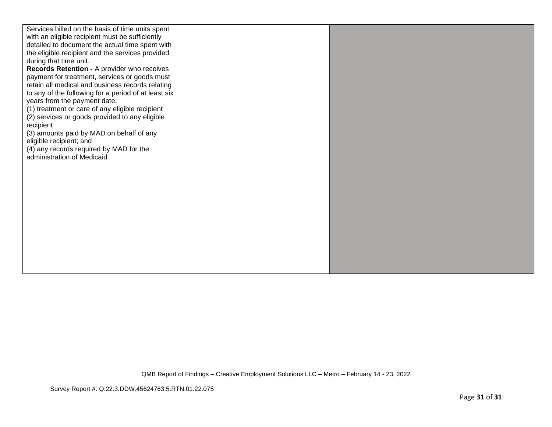| Services billed on the basis of time units spent<br>with an eligible recipient must be sufficiently<br>detailed to document the actual time spent with<br>the eligible recipient and the services provided<br>during that time unit.<br>Records Retention - A provider who receives<br>payment for treatment, services or goods must<br>retain all medical and business records relating<br>to any of the following for a period of at least six<br>years from the payment date:<br>(1) treatment or care of any eligible recipient<br>(2) services or goods provided to any eligible<br>recipient<br>(3) amounts paid by MAD on behalf of any<br>eligible recipient; and<br>(4) any records required by MAD for the<br>administration of Medicaid. |  |  |
|-----------------------------------------------------------------------------------------------------------------------------------------------------------------------------------------------------------------------------------------------------------------------------------------------------------------------------------------------------------------------------------------------------------------------------------------------------------------------------------------------------------------------------------------------------------------------------------------------------------------------------------------------------------------------------------------------------------------------------------------------------|--|--|
|                                                                                                                                                                                                                                                                                                                                                                                                                                                                                                                                                                                                                                                                                                                                                     |  |  |